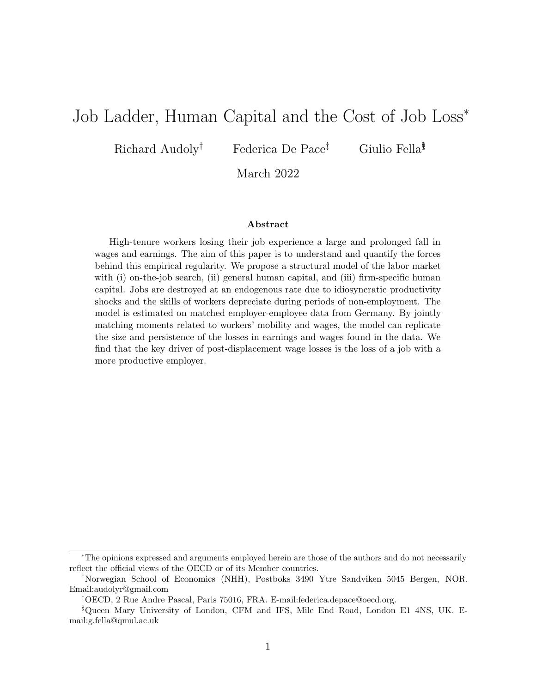# Job Ladder, Human Capital and the Cost of Job Loss<sup>∗</sup>

Richard Audoly<sup>†</sup> Federica De Pace<sup>‡</sup> Giulio Fella<sup>§</sup>

March 2022

#### Abstract

High-tenure workers losing their job experience a large and prolonged fall in wages and earnings. The aim of this paper is to understand and quantify the forces behind this empirical regularity. We propose a structural model of the labor market with (i) on-the-job search, (ii) general human capital, and (iii) firm-specific human capital. Jobs are destroyed at an endogenous rate due to idiosyncratic productivity shocks and the skills of workers depreciate during periods of non-employment. The model is estimated on matched employer-employee data from Germany. By jointly matching moments related to workers' mobility and wages, the model can replicate the size and persistence of the losses in earnings and wages found in the data. We find that the key driver of post-displacement wage losses is the loss of a job with a more productive employer.

<sup>∗</sup>The opinions expressed and arguments employed herein are those of the authors and do not necessarily reflect the official views of the OECD or of its Member countries.

<sup>†</sup>Norwegian School of Economics (NHH), Postboks 3490 Ytre Sandviken 5045 Bergen, NOR. Email:audolyr@gmail.com

<sup>‡</sup>OECD, 2 Rue Andre Pascal, Paris 75016, FRA. E-mail:federica.depace@oecd.org.

<sup>§</sup>Queen Mary University of London, CFM and IFS, Mile End Road, London E1 4NS, UK. Email:g.fella@qmul.ac.uk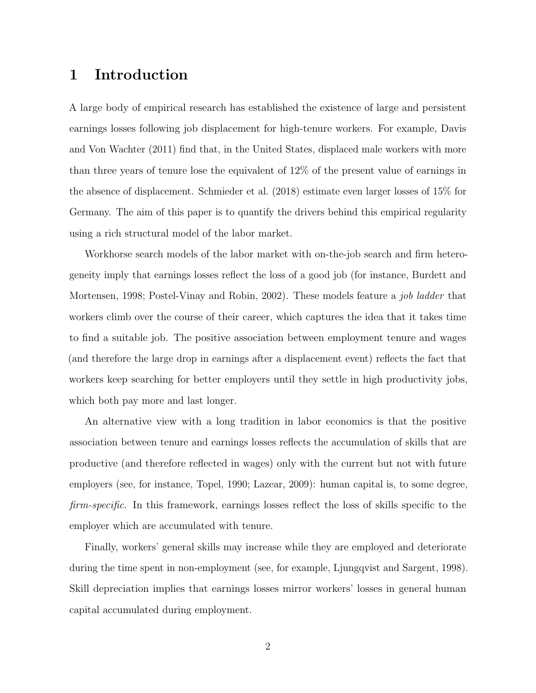# 1 Introduction

A large body of empirical research has established the existence of large and persistent earnings losses following job displacement for high-tenure workers. For example, [Davis](#page-46-0) [and Von Wachter](#page-46-0) [\(2011\)](#page-46-0) find that, in the United States, displaced male workers with more than three years of tenure lose the equivalent of 12% of the present value of earnings in the absence of displacement. [Schmieder et al.](#page-47-0) [\(2018\)](#page-47-0) estimate even larger losses of 15% for Germany. The aim of this paper is to quantify the drivers behind this empirical regularity using a rich structural model of the labor market.

Workhorse search models of the labor market with on-the-job search and firm heterogeneity imply that earnings losses reflect the loss of a good job (for instance, [Burdett and](#page-46-1) [Mortensen,](#page-46-1) [1998;](#page-46-1) [Postel-Vinay and Robin,](#page-47-1) [2002\)](#page-47-1). These models feature a *job ladder* that workers climb over the course of their career, which captures the idea that it takes time to find a suitable job. The positive association between employment tenure and wages (and therefore the large drop in earnings after a displacement event) reflects the fact that workers keep searching for better employers until they settle in high productivity jobs, which both pay more and last longer.

An alternative view with a long tradition in labor economics is that the positive association between tenure and earnings losses reflects the accumulation of skills that are productive (and therefore reflected in wages) only with the current but not with future employers (see, for instance, [Topel,](#page-47-2) [1990;](#page-47-2) [Lazear,](#page-47-3) [2009\)](#page-47-3): human capital is, to some degree, firm-specific. In this framework, earnings losses reflect the loss of skills specific to the employer which are accumulated with tenure.

Finally, workers' general skills may increase while they are employed and deteriorate during the time spent in non-employment (see, for example, [Ljungqvist and Sargent,](#page-47-4) [1998\)](#page-47-4). Skill depreciation implies that earnings losses mirror workers' losses in general human capital accumulated during employment.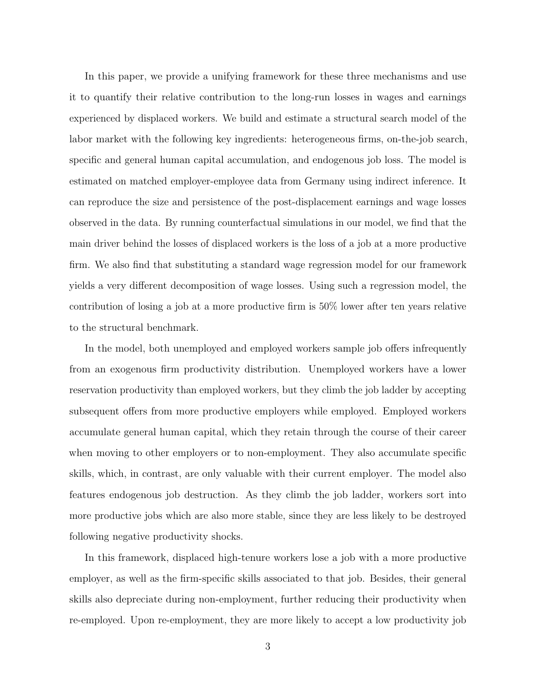In this paper, we provide a unifying framework for these three mechanisms and use it to quantify their relative contribution to the long-run losses in wages and earnings experienced by displaced workers. We build and estimate a structural search model of the labor market with the following key ingredients: heterogeneous firms, on-the-job search, specific and general human capital accumulation, and endogenous job loss. The model is estimated on matched employer-employee data from Germany using indirect inference. It can reproduce the size and persistence of the post-displacement earnings and wage losses observed in the data. By running counterfactual simulations in our model, we find that the main driver behind the losses of displaced workers is the loss of a job at a more productive firm. We also find that substituting a standard wage regression model for our framework yields a very different decomposition of wage losses. Using such a regression model, the contribution of losing a job at a more productive firm is 50% lower after ten years relative to the structural benchmark.

In the model, both unemployed and employed workers sample job offers infrequently from an exogenous firm productivity distribution. Unemployed workers have a lower reservation productivity than employed workers, but they climb the job ladder by accepting subsequent offers from more productive employers while employed. Employed workers accumulate general human capital, which they retain through the course of their career when moving to other employers or to non-employment. They also accumulate specific skills, which, in contrast, are only valuable with their current employer. The model also features endogenous job destruction. As they climb the job ladder, workers sort into more productive jobs which are also more stable, since they are less likely to be destroyed following negative productivity shocks.

In this framework, displaced high-tenure workers lose a job with a more productive employer, as well as the firm-specific skills associated to that job. Besides, their general skills also depreciate during non-employment, further reducing their productivity when re-employed. Upon re-employment, they are more likely to accept a low productivity job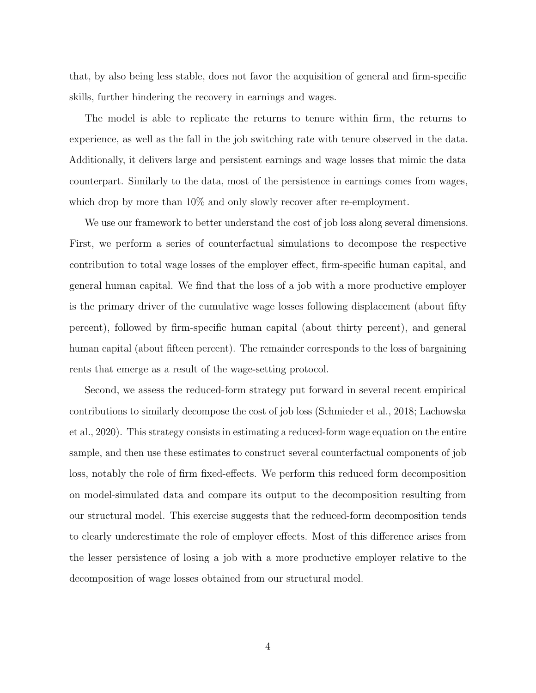that, by also being less stable, does not favor the acquisition of general and firm-specific skills, further hindering the recovery in earnings and wages.

The model is able to replicate the returns to tenure within firm, the returns to experience, as well as the fall in the job switching rate with tenure observed in the data. Additionally, it delivers large and persistent earnings and wage losses that mimic the data counterpart. Similarly to the data, most of the persistence in earnings comes from wages, which drop by more than  $10\%$  and only slowly recover after re-employment.

We use our framework to better understand the cost of job loss along several dimensions. First, we perform a series of counterfactual simulations to decompose the respective contribution to total wage losses of the employer effect, firm-specific human capital, and general human capital. We find that the loss of a job with a more productive employer is the primary driver of the cumulative wage losses following displacement (about fifty percent), followed by firm-specific human capital (about thirty percent), and general human capital (about fifteen percent). The remainder corresponds to the loss of bargaining rents that emerge as a result of the wage-setting protocol.

Second, we assess the reduced-form strategy put forward in several recent empirical contributions to similarly decompose the cost of job loss [\(Schmieder et al.,](#page-47-0) [2018;](#page-47-0) [Lachowska](#page-47-5) [et al.,](#page-47-5) [2020\)](#page-47-5). This strategy consists in estimating a reduced-form wage equation on the entire sample, and then use these estimates to construct several counterfactual components of job loss, notably the role of firm fixed-effects. We perform this reduced form decomposition on model-simulated data and compare its output to the decomposition resulting from our structural model. This exercise suggests that the reduced-form decomposition tends to clearly underestimate the role of employer effects. Most of this difference arises from the lesser persistence of losing a job with a more productive employer relative to the decomposition of wage losses obtained from our structural model.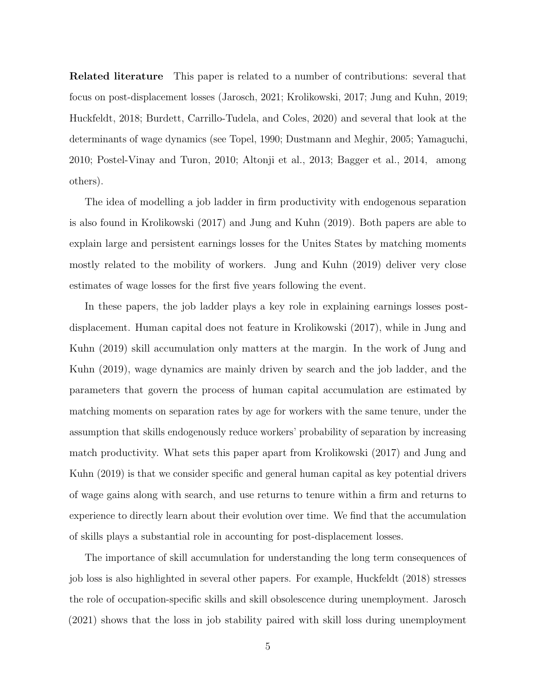Related literature This paper is related to a number of contributions: several that focus on post-displacement losses [\(Jarosch,](#page-46-2) [2021;](#page-46-2) [Krolikowski,](#page-47-6) [2017;](#page-47-6) [Jung and Kuhn,](#page-46-3) [2019;](#page-46-3) [Huckfeldt,](#page-46-4) [2018;](#page-46-4) [Burdett, Carrillo-Tudela, and Coles,](#page-46-5) [2020\)](#page-46-5) and several that look at the determinants of wage dynamics (see [Topel,](#page-47-2) [1990;](#page-47-2) [Dustmann and Meghir,](#page-46-6) [2005;](#page-46-6) [Yamaguchi,](#page-47-7) [2010;](#page-47-7) [Postel-Vinay and Turon,](#page-47-8) [2010;](#page-47-8) [Altonji et al.,](#page-46-7) [2013;](#page-46-7) [Bagger et al.,](#page-46-8) [2014,](#page-46-8) among others).

The idea of modelling a job ladder in firm productivity with endogenous separation is also found in [Krolikowski](#page-47-6) [\(2017\)](#page-47-6) and [Jung and Kuhn](#page-46-3) [\(2019\)](#page-46-3). Both papers are able to explain large and persistent earnings losses for the Unites States by matching moments mostly related to the mobility of workers. [Jung and Kuhn](#page-46-3) [\(2019\)](#page-46-3) deliver very close estimates of wage losses for the first five years following the event.

In these papers, the job ladder plays a key role in explaining earnings losses postdisplacement. Human capital does not feature in [Krolikowski](#page-47-6) [\(2017\)](#page-47-6), while in [Jung and](#page-46-3) [Kuhn](#page-46-3) [\(2019\)](#page-46-3) skill accumulation only matters at the margin. In the work of [Jung and](#page-46-3) [Kuhn](#page-46-3) [\(2019\)](#page-46-3), wage dynamics are mainly driven by search and the job ladder, and the parameters that govern the process of human capital accumulation are estimated by matching moments on separation rates by age for workers with the same tenure, under the assumption that skills endogenously reduce workers' probability of separation by increasing match productivity. What sets this paper apart from [Krolikowski](#page-47-6) [\(2017\)](#page-47-6) and [Jung and](#page-46-3) [Kuhn](#page-46-3) [\(2019\)](#page-46-3) is that we consider specific and general human capital as key potential drivers of wage gains along with search, and use returns to tenure within a firm and returns to experience to directly learn about their evolution over time. We find that the accumulation of skills plays a substantial role in accounting for post-displacement losses.

The importance of skill accumulation for understanding the long term consequences of job loss is also highlighted in several other papers. For example, [Huckfeldt](#page-46-4) [\(2018\)](#page-46-4) stresses the role of occupation-specific skills and skill obsolescence during unemployment. [Jarosch](#page-46-2) [\(2021\)](#page-46-2) shows that the loss in job stability paired with skill loss during unemployment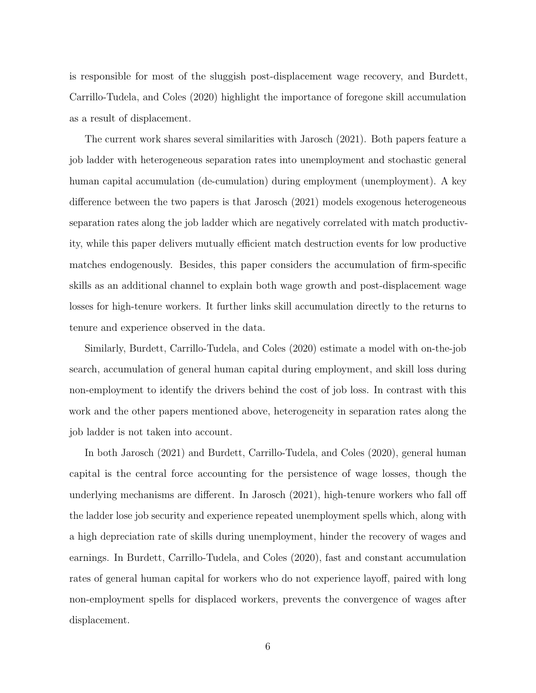is responsible for most of the sluggish post-displacement wage recovery, and [Burdett,](#page-46-5) [Carrillo-Tudela, and Coles](#page-46-5) [\(2020\)](#page-46-5) highlight the importance of foregone skill accumulation as a result of displacement.

The current work shares several similarities with [Jarosch](#page-46-2) [\(2021\)](#page-46-2). Both papers feature a job ladder with heterogeneous separation rates into unemployment and stochastic general human capital accumulation (de-cumulation) during employment (unemployment). A key difference between the two papers is that [Jarosch](#page-46-2) [\(2021\)](#page-46-2) models exogenous heterogeneous separation rates along the job ladder which are negatively correlated with match productivity, while this paper delivers mutually efficient match destruction events for low productive matches endogenously. Besides, this paper considers the accumulation of firm-specific skills as an additional channel to explain both wage growth and post-displacement wage losses for high-tenure workers. It further links skill accumulation directly to the returns to tenure and experience observed in the data.

Similarly, [Burdett, Carrillo-Tudela, and Coles](#page-46-5) [\(2020\)](#page-46-5) estimate a model with on-the-job search, accumulation of general human capital during employment, and skill loss during non-employment to identify the drivers behind the cost of job loss. In contrast with this work and the other papers mentioned above, heterogeneity in separation rates along the job ladder is not taken into account.

In both [Jarosch](#page-46-2) [\(2021\)](#page-46-2) and [Burdett, Carrillo-Tudela, and Coles](#page-46-5) [\(2020\)](#page-46-5), general human capital is the central force accounting for the persistence of wage losses, though the underlying mechanisms are different. In [Jarosch](#page-46-2) [\(2021\)](#page-46-2), high-tenure workers who fall off the ladder lose job security and experience repeated unemployment spells which, along with a high depreciation rate of skills during unemployment, hinder the recovery of wages and earnings. In [Burdett, Carrillo-Tudela, and Coles](#page-46-5) [\(2020\)](#page-46-5), fast and constant accumulation rates of general human capital for workers who do not experience layoff, paired with long non-employment spells for displaced workers, prevents the convergence of wages after displacement.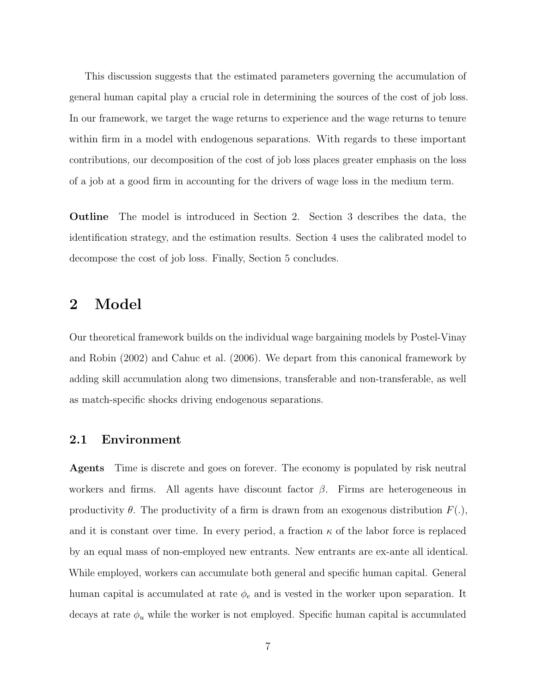This discussion suggests that the estimated parameters governing the accumulation of general human capital play a crucial role in determining the sources of the cost of job loss. In our framework, we target the wage returns to experience and the wage returns to tenure within firm in a model with endogenous separations. With regards to these important contributions, our decomposition of the cost of job loss places greater emphasis on the loss of a job at a good firm in accounting for the drivers of wage loss in the medium term.

Outline The model is introduced in Section [2.](#page-6-0) Section [3](#page-20-0) describes the data, the identification strategy, and the estimation results. Section [4](#page-30-0) uses the calibrated model to decompose the cost of job loss. Finally, Section [5](#page-37-0) concludes.

# <span id="page-6-0"></span>2 Model

Our theoretical framework builds on the individual wage bargaining models by [Postel-Vinay](#page-47-1) [and Robin](#page-47-1) [\(2002\)](#page-47-1) and [Cahuc et al.](#page-46-9) [\(2006\)](#page-46-9). We depart from this canonical framework by adding skill accumulation along two dimensions, transferable and non-transferable, as well as match-specific shocks driving endogenous separations.

## 2.1 Environment

Agents Time is discrete and goes on forever. The economy is populated by risk neutral workers and firms. All agents have discount factor  $\beta$ . Firms are heterogeneous in productivity  $\theta$ . The productivity of a firm is drawn from an exogenous distribution  $F(.)$ , and it is constant over time. In every period, a fraction  $\kappa$  of the labor force is replaced by an equal mass of non-employed new entrants. New entrants are ex-ante all identical. While employed, workers can accumulate both general and specific human capital. General human capital is accumulated at rate  $\phi_e$  and is vested in the worker upon separation. It decays at rate  $\phi_u$  while the worker is not employed. Specific human capital is accumulated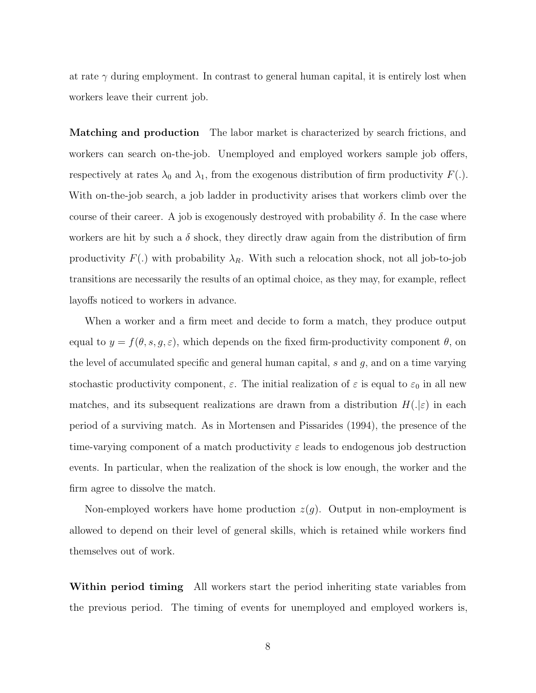at rate  $\gamma$  during employment. In contrast to general human capital, it is entirely lost when workers leave their current job.

Matching and production The labor market is characterized by search frictions, and workers can search on-the-job. Unemployed and employed workers sample job offers, respectively at rates  $\lambda_0$  and  $\lambda_1$ , from the exogenous distribution of firm productivity  $F(.)$ . With on-the-job search, a job ladder in productivity arises that workers climb over the course of their career. A job is exogenously destroyed with probability  $\delta$ . In the case where workers are hit by such a  $\delta$  shock, they directly draw again from the distribution of firm productivity  $F(.)$  with probability  $\lambda_R$ . With such a relocation shock, not all job-to-job transitions are necessarily the results of an optimal choice, as they may, for example, reflect layoffs noticed to workers in advance.

When a worker and a firm meet and decide to form a match, they produce output equal to  $y = f(\theta, s, g, \varepsilon)$ , which depends on the fixed firm-productivity component  $\theta$ , on the level of accumulated specific and general human capital, s and g, and on a time varying stochastic productivity component,  $\varepsilon$ . The initial realization of  $\varepsilon$  is equal to  $\varepsilon_0$  in all new matches, and its subsequent realizations are drawn from a distribution  $H(|\varepsilon)$  in each period of a surviving match. As in [Mortensen and Pissarides](#page-47-9) [\(1994\)](#page-47-9), the presence of the time-varying component of a match productivity  $\varepsilon$  leads to endogenous job destruction events. In particular, when the realization of the shock is low enough, the worker and the firm agree to dissolve the match.

Non-employed workers have home production  $z(g)$ . Output in non-employment is allowed to depend on their level of general skills, which is retained while workers find themselves out of work.

Within period timing All workers start the period inheriting state variables from the previous period. The timing of events for unemployed and employed workers is,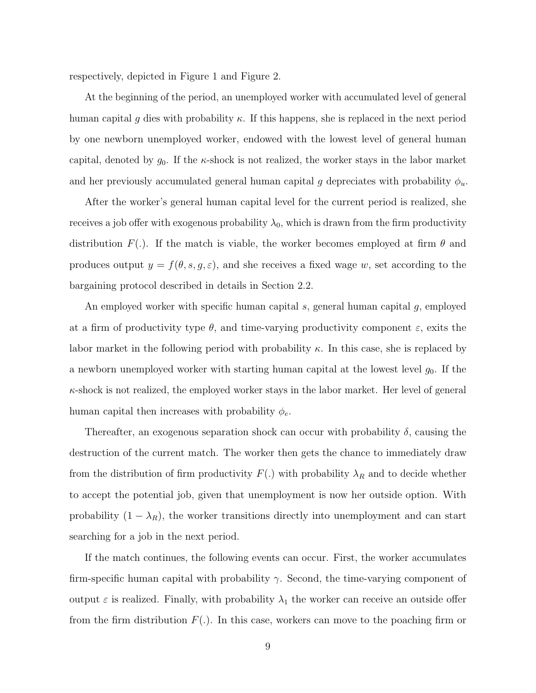respectively, depicted in Figure [1](#page-39-0) and Figure [2.](#page-39-1)

At the beginning of the period, an unemployed worker with accumulated level of general human capital g dies with probability  $\kappa$ . If this happens, she is replaced in the next period by one newborn unemployed worker, endowed with the lowest level of general human capital, denoted by  $g_0$ . If the  $\kappa$ -shock is not realized, the worker stays in the labor market and her previously accumulated general human capital g depreciates with probability  $\phi_u$ .

After the worker's general human capital level for the current period is realized, she receives a job offer with exogenous probability  $\lambda_0$ , which is drawn from the firm productivity distribution  $F(.)$ . If the match is viable, the worker becomes employed at firm  $\theta$  and produces output  $y = f(\theta, s, g, \varepsilon)$ , and she receives a fixed wage w, set according to the bargaining protocol described in details in Section [2.2.](#page-9-0)

An employed worker with specific human capital s, general human capital g, employed at a firm of productivity type  $\theta$ , and time-varying productivity component  $\varepsilon$ , exits the labor market in the following period with probability  $\kappa$ . In this case, she is replaced by a newborn unemployed worker with starting human capital at the lowest level  $g_0$ . If the  $\kappa$ -shock is not realized, the employed worker stays in the labor market. Her level of general human capital then increases with probability  $\phi_e$ .

Thereafter, an exogenous separation shock can occur with probability  $\delta$ , causing the destruction of the current match. The worker then gets the chance to immediately draw from the distribution of firm productivity  $F(.)$  with probability  $\lambda_R$  and to decide whether to accept the potential job, given that unemployment is now her outside option. With probability  $(1 - \lambda_R)$ , the worker transitions directly into unemployment and can start searching for a job in the next period.

If the match continues, the following events can occur. First, the worker accumulates firm-specific human capital with probability  $\gamma$ . Second, the time-varying component of output  $\varepsilon$  is realized. Finally, with probability  $\lambda_1$  the worker can receive an outside offer from the firm distribution  $F(.)$ . In this case, workers can move to the poaching firm or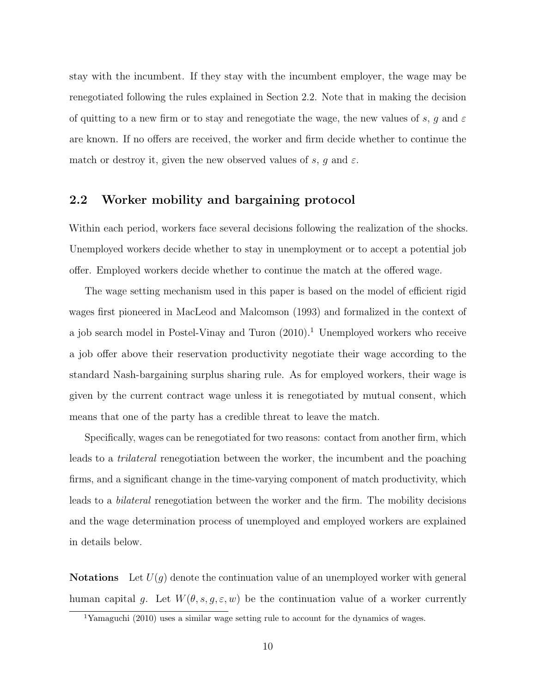stay with the incumbent. If they stay with the incumbent employer, the wage may be renegotiated following the rules explained in Section [2.2.](#page-9-0) Note that in making the decision of quitting to a new firm or to stay and renegotiate the wage, the new values of s, g and  $\varepsilon$ are known. If no offers are received, the worker and firm decide whether to continue the match or destroy it, given the new observed values of s, g and  $\varepsilon$ .

## <span id="page-9-0"></span>2.2 Worker mobility and bargaining protocol

Within each period, workers face several decisions following the realization of the shocks. Unemployed workers decide whether to stay in unemployment or to accept a potential job offer. Employed workers decide whether to continue the match at the offered wage.

The wage setting mechanism used in this paper is based on the model of efficient rigid wages first pioneered in [MacLeod and Malcomson](#page-47-10) [\(1993\)](#page-47-10) and formalized in the context of a job search model in [Postel-Vinay and Turon](#page-47-8)  $(2010)^1$  $(2010)^1$  $(2010)^1$  Unemployed workers who receive a job offer above their reservation productivity negotiate their wage according to the standard Nash-bargaining surplus sharing rule. As for employed workers, their wage is given by the current contract wage unless it is renegotiated by mutual consent, which means that one of the party has a credible threat to leave the match.

Specifically, wages can be renegotiated for two reasons: contact from another firm, which leads to a *trilateral* renegotiation between the worker, the incumbent and the poaching firms, and a significant change in the time-varying component of match productivity, which leads to a bilateral renegotiation between the worker and the firm. The mobility decisions and the wage determination process of unemployed and employed workers are explained in details below.

**Notations** Let  $U(q)$  denote the continuation value of an unemployed worker with general human capital g. Let  $W(\theta, s, g, \varepsilon, w)$  be the continuation value of a worker currently

<span id="page-9-1"></span><sup>&</sup>lt;sup>1</sup>[Yamaguchi](#page-47-7) [\(2010\)](#page-47-7) uses a similar wage setting rule to account for the dynamics of wages.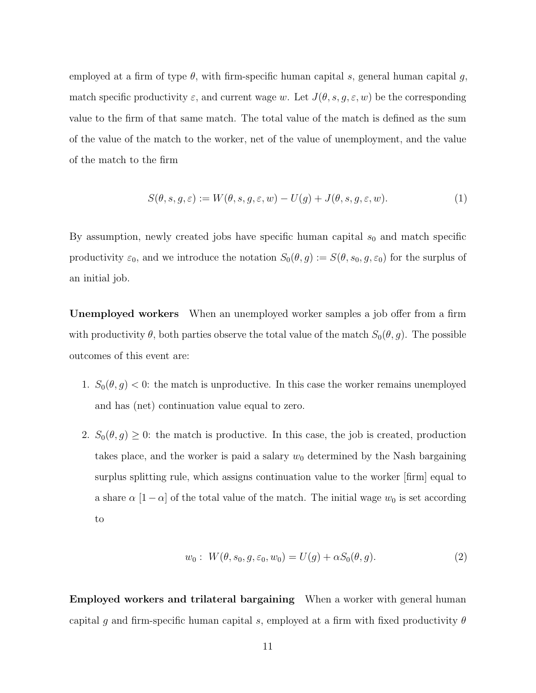employed at a firm of type  $\theta$ , with firm-specific human capital s, general human capital g, match specific productivity  $\varepsilon$ , and current wage w. Let  $J(\theta, s, g, \varepsilon, w)$  be the corresponding value to the firm of that same match. The total value of the match is defined as the sum of the value of the match to the worker, net of the value of unemployment, and the value of the match to the firm

$$
S(\theta, s, g, \varepsilon) := W(\theta, s, g, \varepsilon, w) - U(g) + J(\theta, s, g, \varepsilon, w). \tag{1}
$$

By assumption, newly created jobs have specific human capital  $s_0$  and match specific productivity  $\varepsilon_0$ , and we introduce the notation  $S_0(\theta, g) := S(\theta, s_0, g, \varepsilon_0)$  for the surplus of an initial job.

Unemployed workers When an unemployed worker samples a job offer from a firm with productivity  $\theta$ , both parties observe the total value of the match  $S_0(\theta, g)$ . The possible outcomes of this event are:

- 1.  $S_0(\theta, g) < 0$ : the match is unproductive. In this case the worker remains unemployed and has (net) continuation value equal to zero.
- 2.  $S_0(\theta, g) \geq 0$ : the match is productive. In this case, the job is created, production takes place, and the worker is paid a salary  $w_0$  determined by the Nash bargaining surplus splitting rule, which assigns continuation value to the worker [firm] equal to a share  $\alpha$  [1 –  $\alpha$ ] of the total value of the match. The initial wage  $w_0$  is set according to

<span id="page-10-0"></span>
$$
w_0: W(\theta, s_0, g, \varepsilon_0, w_0) = U(g) + \alpha S_0(\theta, g). \tag{2}
$$

Employed workers and trilateral bargaining When a worker with general human capital g and firm-specific human capital s, employed at a firm with fixed productivity  $\theta$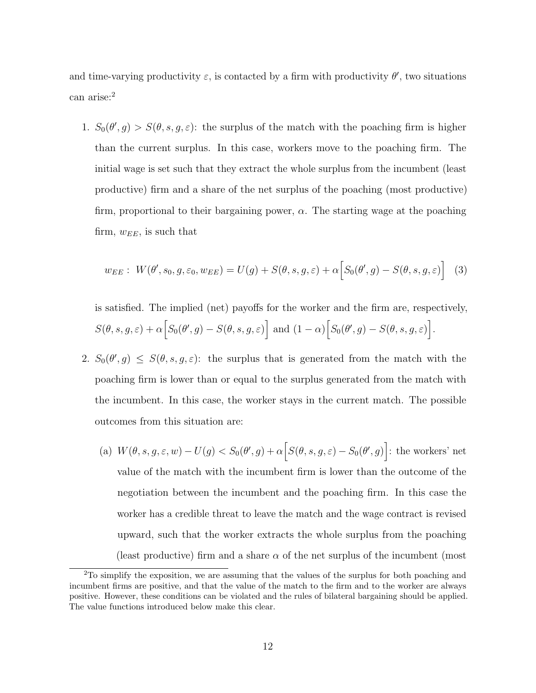and time-varying productivity  $\varepsilon$ , is contacted by a firm with productivity  $\theta'$ , two situations can arise:<sup>[2](#page-11-0)</sup>

1.  $S_0(\theta', g) > S(\theta, s, g, \varepsilon)$ : the surplus of the match with the poaching firm is higher than the current surplus. In this case, workers move to the poaching firm. The initial wage is set such that they extract the whole surplus from the incumbent (least productive) firm and a share of the net surplus of the poaching (most productive) firm, proportional to their bargaining power,  $\alpha$ . The starting wage at the poaching firm,  $w_{EE}$ , is such that

$$
w_{EE}: W(\theta', s_0, g, \varepsilon_0, w_{EE}) = U(g) + S(\theta, s, g, \varepsilon) + \alpha \Big[ S_0(\theta', g) - S(\theta, s, g, \varepsilon) \Big] \tag{3}
$$

is satisfied. The implied (net) payoffs for the worker and the firm are, respectively,  $S(\theta, s, g, \varepsilon) + \alpha \Big[ S_0(\theta', g) - S(\theta, s, g, \varepsilon) \Big] \text{ and } (1 - \alpha) \Big[ S_0(\theta', g) - S(\theta, s, g, \varepsilon) \Big].$ 

- 2.  $S_0(\theta', g) \leq S(\theta, s, g, \varepsilon)$ : the surplus that is generated from the match with the poaching firm is lower than or equal to the surplus generated from the match with the incumbent. In this case, the worker stays in the current match. The possible outcomes from this situation are:
	- (a)  $W(\theta, s, g, \varepsilon, w) U(g) < S_0(\theta', g) + \alpha \Big[ S(\theta, s, g, \varepsilon) S_0(\theta', g) \Big]$ : the workers' net value of the match with the incumbent firm is lower than the outcome of the negotiation between the incumbent and the poaching firm. In this case the worker has a credible threat to leave the match and the wage contract is revised upward, such that the worker extracts the whole surplus from the poaching (least productive) firm and a share  $\alpha$  of the net surplus of the incumbent (most

<span id="page-11-0"></span><sup>&</sup>lt;sup>2</sup>To simplify the exposition, we are assuming that the values of the surplus for both poaching and incumbent firms are positive, and that the value of the match to the firm and to the worker are always positive. However, these conditions can be violated and the rules of bilateral bargaining should be applied. The value functions introduced below make this clear.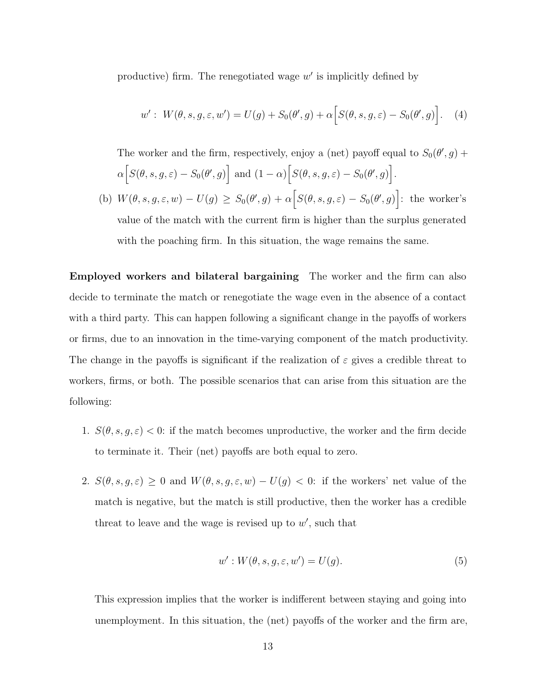productive) firm. The renegotiated wage  $w'$  is implicitly defined by

$$
w': W(\theta, s, g, \varepsilon, w') = U(g) + S_0(\theta', g) + \alpha \Big[ S(\theta, s, g, \varepsilon) - S_0(\theta', g) \Big]. \tag{4}
$$

The worker and the firm, respectively, enjoy a (net) payoff equal to  $S_0(\theta, g)$  +  $\alpha \Big[ S(\theta, s, g, \varepsilon) - S_0(\theta', g) \Big] \text{ and } (1 - \alpha) \Big[ S(\theta, s, g, \varepsilon) - S_0(\theta', g) \Big].$ 

(b)  $W(\theta, s, g, \varepsilon, w) - U(g) \geq S_0(\theta, g) + \alpha \Big[ S(\theta, s, g, \varepsilon) - S_0(\theta, g) \Big]$ : the worker's value of the match with the current firm is higher than the surplus generated with the poaching firm. In this situation, the wage remains the same.

Employed workers and bilateral bargaining The worker and the firm can also decide to terminate the match or renegotiate the wage even in the absence of a contact with a third party. This can happen following a significant change in the payoffs of workers or firms, due to an innovation in the time-varying component of the match productivity. The change in the payoffs is significant if the realization of  $\varepsilon$  gives a credible threat to workers, firms, or both. The possible scenarios that can arise from this situation are the following:

- 1.  $S(\theta, s, g, \varepsilon) < 0$ : if the match becomes unproductive, the worker and the firm decide to terminate it. Their (net) payoffs are both equal to zero.
- 2.  $S(\theta, s, g, \varepsilon) \geq 0$  and  $W(\theta, s, g, \varepsilon, w) U(g) < 0$ : if the workers' net value of the match is negative, but the match is still productive, then the worker has a credible threat to leave and the wage is revised up to  $w'$ , such that

$$
w': W(\theta, s, g, \varepsilon, w') = U(g). \tag{5}
$$

This expression implies that the worker is indifferent between staying and going into unemployment. In this situation, the (net) payoffs of the worker and the firm are,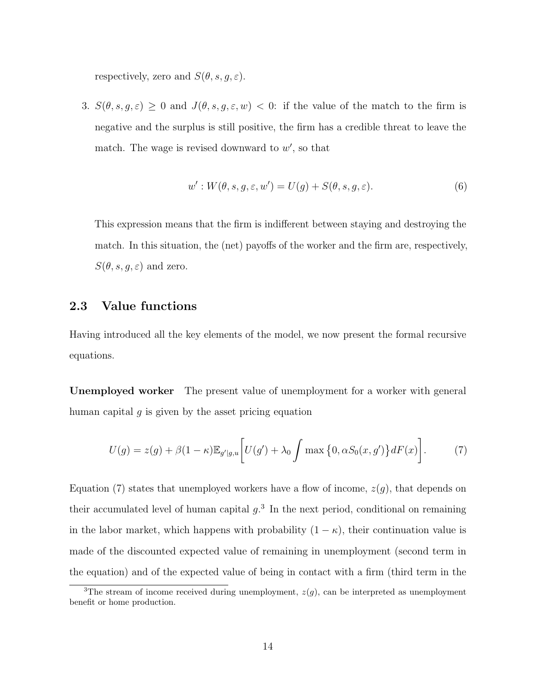respectively, zero and  $S(\theta, s, g, \varepsilon)$ .

3.  $S(\theta, s, g, \varepsilon) \geq 0$  and  $J(\theta, s, g, \varepsilon, w) < 0$ : if the value of the match to the firm is negative and the surplus is still positive, the firm has a credible threat to leave the match. The wage is revised downward to  $w'$ , so that

$$
w': W(\theta, s, g, \varepsilon, w') = U(g) + S(\theta, s, g, \varepsilon).
$$
\n<sup>(6)</sup>

This expression means that the firm is indifferent between staying and destroying the match. In this situation, the (net) payoffs of the worker and the firm are, respectively,  $S(\theta, s, g, \varepsilon)$  and zero.

#### 2.3 Value functions

Having introduced all the key elements of the model, we now present the formal recursive equations.

Unemployed worker The present value of unemployment for a worker with general human capital  $g$  is given by the asset pricing equation

<span id="page-13-0"></span>
$$
U(g) = z(g) + \beta(1 - \kappa)\mathbb{E}_{g'|g,u}\bigg[U(g') + \lambda_0 \int \max\big\{0, \alpha S_0(x, g')\big\} dF(x)\bigg].\tag{7}
$$

Equation [\(7\)](#page-13-0) states that unemployed workers have a flow of income,  $z(g)$ , that depends on their accumulated level of human capital  $g<sup>3</sup>$  $g<sup>3</sup>$  $g<sup>3</sup>$ . In the next period, conditional on remaining in the labor market, which happens with probability  $(1 - \kappa)$ , their continuation value is made of the discounted expected value of remaining in unemployment (second term in the equation) and of the expected value of being in contact with a firm (third term in the

<span id="page-13-1"></span><sup>&</sup>lt;sup>3</sup>The stream of income received during unemployment,  $z(g)$ , can be interpreted as unemployment benefit or home production.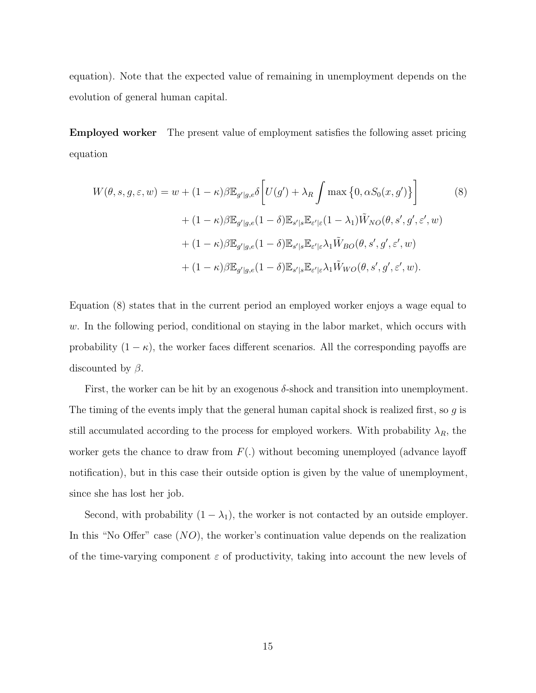equation). Note that the expected value of remaining in unemployment depends on the evolution of general human capital.

Employed worker The present value of employment satisfies the following asset pricing equation

<span id="page-14-0"></span>
$$
W(\theta, s, g, \varepsilon, w) = w + (1 - \kappa)\beta \mathbb{E}_{g'|g,e} \delta \left[ U(g') + \lambda_R \int \max \left\{ 0, \alpha S_0(x, g') \right\} \right]
$$
(8)  
+ 
$$
(1 - \kappa)\beta \mathbb{E}_{g'|g,e} (1 - \delta) \mathbb{E}_{s'|s} \mathbb{E}_{\varepsilon'|\varepsilon} (1 - \lambda_1) \tilde{W}_{NO}(\theta, s', g', \varepsilon', w)
$$
  
+ 
$$
(1 - \kappa)\beta \mathbb{E}_{g'|g,e} (1 - \delta) \mathbb{E}_{s'|s} \mathbb{E}_{\varepsilon'|\varepsilon} \lambda_1 \tilde{W}_{BO}(\theta, s', g', \varepsilon', w)
$$
  
+ 
$$
(1 - \kappa)\beta \mathbb{E}_{g'|g,e} (1 - \delta) \mathbb{E}_{s'|s} \mathbb{E}_{\varepsilon'|\varepsilon} \lambda_1 \tilde{W}_{WO}(\theta, s', g', \varepsilon', w).
$$

Equation [\(8\)](#page-14-0) states that in the current period an employed worker enjoys a wage equal to  $w$ . In the following period, conditional on staying in the labor market, which occurs with probability  $(1 - \kappa)$ , the worker faces different scenarios. All the corresponding payoffs are discounted by  $\beta$ .

First, the worker can be hit by an exogenous  $\delta$ -shock and transition into unemployment. The timing of the events imply that the general human capital shock is realized first, so  $q$  is still accumulated according to the process for employed workers. With probability  $\lambda_R$ , the worker gets the chance to draw from  $F(.)$  without becoming unemployed (advance layoff notification), but in this case their outside option is given by the value of unemployment, since she has lost her job.

Second, with probability  $(1 - \lambda_1)$ , the worker is not contacted by an outside employer. In this "No Offer" case  $(NO)$ , the worker's continuation value depends on the realization of the time-varying component  $\varepsilon$  of productivity, taking into account the new levels of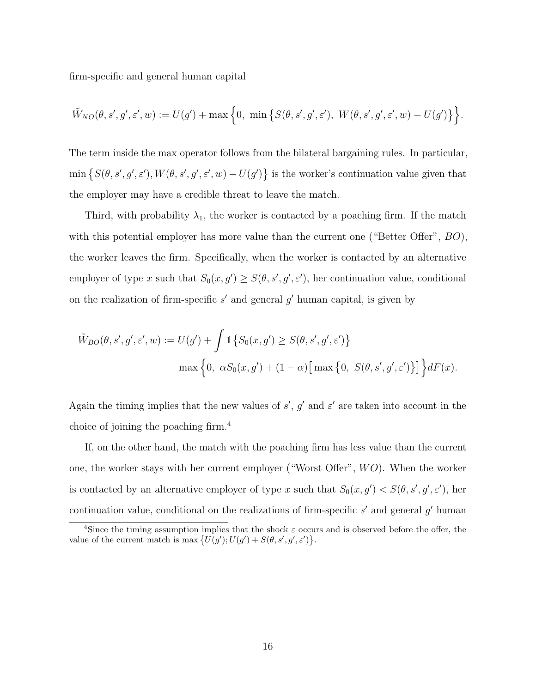firm-specific and general human capital

$$
\tilde{W}_{NO}(\theta, s', g', \varepsilon', w) := U(g') + \max\Big\{0, \ \min\big\{S(\theta, s', g', \varepsilon'), \ W(\theta, s', g', \varepsilon', w) - U(g')\big\}\Big\}.
$$

The term inside the max operator follows from the bilateral bargaining rules. In particular,  $\min \{S(\theta, s', g', \varepsilon'), W(\theta, s', g', \varepsilon', w) - U(g')\}$  is the worker's continuation value given that the employer may have a credible threat to leave the match.

Third, with probability  $\lambda_1$ , the worker is contacted by a poaching firm. If the match with this potential employer has more value than the current one ("Better Offer",  $BO$ ), the worker leaves the firm. Specifically, when the worker is contacted by an alternative employer of type x such that  $S_0(x, g') \geq S(\theta, s', g', \varepsilon')$ , her continuation value, conditional on the realization of firm-specific  $s'$  and general  $g'$  human capital, is given by

$$
\tilde{W}_{BO}(\theta, s', g', \varepsilon', w) := U(g') + \int \mathbb{1}\left\{S_0(x, g') \ge S(\theta, s', g', \varepsilon')\right\}
$$

$$
\max\left\{0, \alpha S_0(x, g') + (1 - \alpha) \left[\max\left\{0, S(\theta, s', g', \varepsilon')\right\}\right]\right\} dF(x).
$$

Again the timing implies that the new values of  $s'$ ,  $g'$  and  $\varepsilon'$  are taken into account in the choice of joining the poaching firm.[4](#page-15-0)

If, on the other hand, the match with the poaching firm has less value than the current one, the worker stays with her current employer ("Worst Offer",  $WO$ ). When the worker is contacted by an alternative employer of type x such that  $S_0(x, g') < S(\theta, s', g', \varepsilon')$ , her continuation value, conditional on the realizations of firm-specific  $s'$  and general  $g'$  human

<span id="page-15-0"></span><sup>&</sup>lt;sup>4</sup>Since the timing assumption implies that the shock  $\varepsilon$  occurs and is observed before the offer, the value of the current match is max  $\{U(g'); U(g') + S(\theta, s', g', \varepsilon')\}.$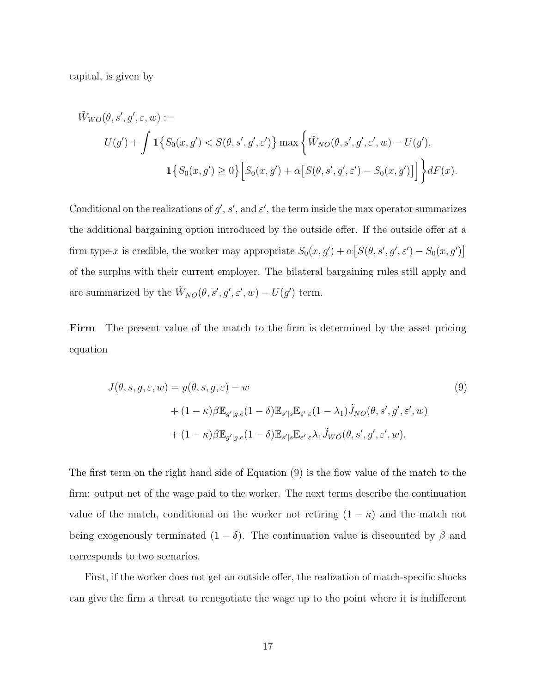capital, is given by

$$
\tilde{W}_{WO}(\theta, s', g', \varepsilon, w) :=
$$
\n
$$
U(g') + \int \mathbb{1}\{S_0(x, g') < S(\theta, s', g', \varepsilon')\} \max\{\tilde{W}_{NO}(\theta, s', g', \varepsilon', w) - U(g'),
$$
\n
$$
\mathbb{1}\{S_0(x, g') \ge 0\} \Big[ S_0(x, g') + \alpha \big[S(\theta, s', g', \varepsilon') - S_0(x, g')\big] \Big] \} dF(x).
$$

Conditional on the realizations of  $g'$ ,  $s'$ , and  $\varepsilon'$ , the term inside the max operator summarizes the additional bargaining option introduced by the outside offer. If the outside offer at a firm type-x is credible, the worker may appropriate  $S_0(x, g') + \alpha [S(\theta, s', g', \varepsilon') - S_0(x, g')]$ of the surplus with their current employer. The bilateral bargaining rules still apply and are summarized by the  $\tilde{W}_{NO}(\theta, s', g', \varepsilon', w) - U(g')$  term.

Firm The present value of the match to the firm is determined by the asset pricing equation

<span id="page-16-0"></span>
$$
J(\theta, s, g, \varepsilon, w) = y(\theta, s, g, \varepsilon) - w
$$
  
+  $(1 - \kappa)\beta \mathbb{E}_{g'|g,e}(1 - \delta) \mathbb{E}_{s'|s} \mathbb{E}_{\varepsilon'|\varepsilon}(1 - \lambda_1) \tilde{J}_{NO}(\theta, s', g', \varepsilon', w)$   
+  $(1 - \kappa)\beta \mathbb{E}_{g'|g,e}(1 - \delta) \mathbb{E}_{s'|s} \mathbb{E}_{\varepsilon'|\varepsilon} \lambda_1 \tilde{J}_{WO}(\theta, s', g', \varepsilon', w).$  (9)

The first term on the right hand side of Equation [\(9\)](#page-16-0) is the flow value of the match to the firm: output net of the wage paid to the worker. The next terms describe the continuation value of the match, conditional on the worker not retiring  $(1 - \kappa)$  and the match not being exogenously terminated  $(1 - \delta)$ . The continuation value is discounted by  $\beta$  and corresponds to two scenarios.

First, if the worker does not get an outside offer, the realization of match-specific shocks can give the firm a threat to renegotiate the wage up to the point where it is indifferent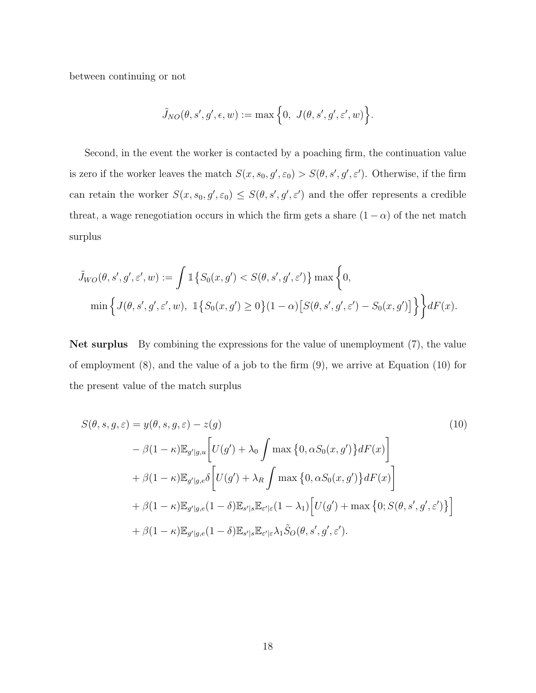between continuing or not

$$
\tilde{J}_{NO}(\theta,s',g',\epsilon,w):=\max\Big\{0,\ J(\theta,s',g',\varepsilon',w)\Big\}.
$$

Second, in the event the worker is contacted by a poaching firm, the continuation value is zero if the worker leaves the match  $S(x, s_0, g', \varepsilon_0) > S(\theta, s', g', \varepsilon')$ . Otherwise, if the firm can retain the worker  $S(x, s_0, g', \varepsilon_0) \leq S(\theta, s', g', \varepsilon')$  and the offer represents a credible threat, a wage renegotiation occurs in which the firm gets a share  $(1 - \alpha)$  of the net match surplus

$$
\tilde{J}_{WO}(\theta, s', g', \varepsilon', w) := \int \mathbb{1}\{S_0(x, g') < S(\theta, s', g', \varepsilon')\} \max\left\{0, \min\left\{J(\theta, s', g', \varepsilon', w), \ \mathbb{1}\{S_0(x, g') \ge 0\}(1 - \alpha) \big[S(\theta, s', g', \varepsilon') - S_0(x, g')\big] \right\}\right\} dF(x).
$$

Net surplus By combining the expressions for the value of unemployment [\(7\)](#page-13-0), the value of employment [\(8\)](#page-14-0), and the value of a job to the firm [\(9\)](#page-16-0), we arrive at Equation [\(10\)](#page-17-0) for the present value of the match surplus

<span id="page-17-0"></span>
$$
S(\theta, s, g, \varepsilon) = y(\theta, s, g, \varepsilon) - z(g)
$$
\n
$$
- \beta(1 - \kappa) \mathbb{E}_{g'|g,u} \left[ U(g') + \lambda_0 \int \max \{0, \alpha S_0(x, g') \} dF(x) \right]
$$
\n
$$
+ \beta(1 - \kappa) \mathbb{E}_{g'|g,e} \delta \left[ U(g') + \lambda_R \int \max \{0, \alpha S_0(x, g') \} dF(x) \right]
$$
\n
$$
+ \beta(1 - \kappa) \mathbb{E}_{g'|g,e} (1 - \delta) \mathbb{E}_{s'|s} \mathbb{E}_{\varepsilon'|\varepsilon} (1 - \lambda_1) \left[ U(g') + \max \{0; S(\theta, s', g', \varepsilon') \} \right]
$$
\n
$$
+ \beta(1 - \kappa) \mathbb{E}_{g'|g,e} (1 - \delta) \mathbb{E}_{s'|s} \mathbb{E}_{\varepsilon'|\varepsilon} \lambda_1 \tilde{S}_O(\theta, s', g', \varepsilon').
$$
\n(10)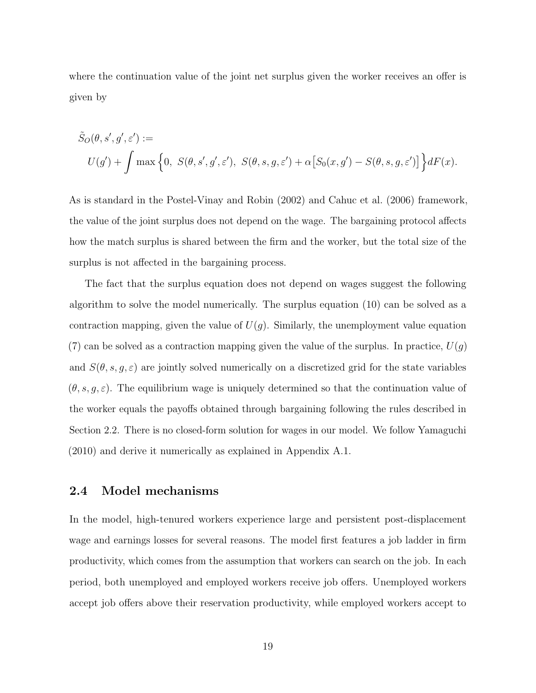where the continuation value of the joint net surplus given the worker receives an offer is given by

$$
\tilde{S}_O(\theta, s', g', \varepsilon') :=
$$
\n
$$
U(g') + \int \max \left\{ 0, S(\theta, s', g', \varepsilon'), S(\theta, s, g, \varepsilon') + \alpha \left[ S_0(x, g') - S(\theta, s, g, \varepsilon') \right] \right\} dF(x).
$$

As is standard in the [Postel-Vinay and Robin](#page-47-1) [\(2002\)](#page-47-1) and [Cahuc et al.](#page-46-9) [\(2006\)](#page-46-9) framework, the value of the joint surplus does not depend on the wage. The bargaining protocol affects how the match surplus is shared between the firm and the worker, but the total size of the surplus is not affected in the bargaining process.

The fact that the surplus equation does not depend on wages suggest the following algorithm to solve the model numerically. The surplus equation [\(10\)](#page-17-0) can be solved as a contraction mapping, given the value of  $U(g)$ . Similarly, the unemployment value equation [\(7\)](#page-13-0) can be solved as a contraction mapping given the value of the surplus. In practice,  $U(g)$ and  $S(\theta, s, g, \varepsilon)$  are jointly solved numerically on a discretized grid for the state variables  $(\theta, s, g, \varepsilon)$ . The equilibrium wage is uniquely determined so that the continuation value of the worker equals the payoffs obtained through bargaining following the rules described in Section [2.2.](#page-9-0) There is no closed-form solution for wages in our model. We follow [Yamaguchi](#page-47-7) [\(2010\)](#page-47-7) and derive it numerically as explained in Appendix [A.1.](#page-48-0)

## 2.4 Model mechanisms

In the model, high-tenured workers experience large and persistent post-displacement wage and earnings losses for several reasons. The model first features a job ladder in firm productivity, which comes from the assumption that workers can search on the job. In each period, both unemployed and employed workers receive job offers. Unemployed workers accept job offers above their reservation productivity, while employed workers accept to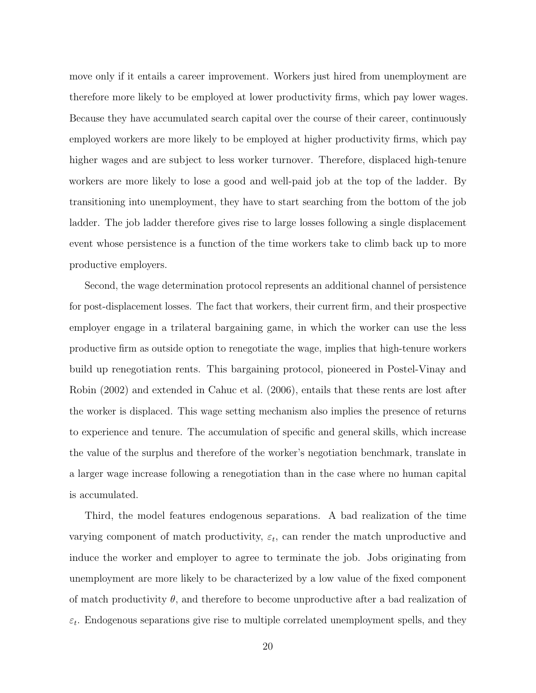move only if it entails a career improvement. Workers just hired from unemployment are therefore more likely to be employed at lower productivity firms, which pay lower wages. Because they have accumulated search capital over the course of their career, continuously employed workers are more likely to be employed at higher productivity firms, which pay higher wages and are subject to less worker turnover. Therefore, displaced high-tenure workers are more likely to lose a good and well-paid job at the top of the ladder. By transitioning into unemployment, they have to start searching from the bottom of the job ladder. The job ladder therefore gives rise to large losses following a single displacement event whose persistence is a function of the time workers take to climb back up to more productive employers.

Second, the wage determination protocol represents an additional channel of persistence for post-displacement losses. The fact that workers, their current firm, and their prospective employer engage in a trilateral bargaining game, in which the worker can use the less productive firm as outside option to renegotiate the wage, implies that high-tenure workers build up renegotiation rents. This bargaining protocol, pioneered in [Postel-Vinay and](#page-47-1) [Robin](#page-47-1) [\(2002\)](#page-47-1) and extended in [Cahuc et al.](#page-46-9) [\(2006\)](#page-46-9), entails that these rents are lost after the worker is displaced. This wage setting mechanism also implies the presence of returns to experience and tenure. The accumulation of specific and general skills, which increase the value of the surplus and therefore of the worker's negotiation benchmark, translate in a larger wage increase following a renegotiation than in the case where no human capital is accumulated.

Third, the model features endogenous separations. A bad realization of the time varying component of match productivity,  $\varepsilon_t$ , can render the match unproductive and induce the worker and employer to agree to terminate the job. Jobs originating from unemployment are more likely to be characterized by a low value of the fixed component of match productivity  $\theta$ , and therefore to become unproductive after a bad realization of  $\varepsilon_t$ . Endogenous separations give rise to multiple correlated unemployment spells, and they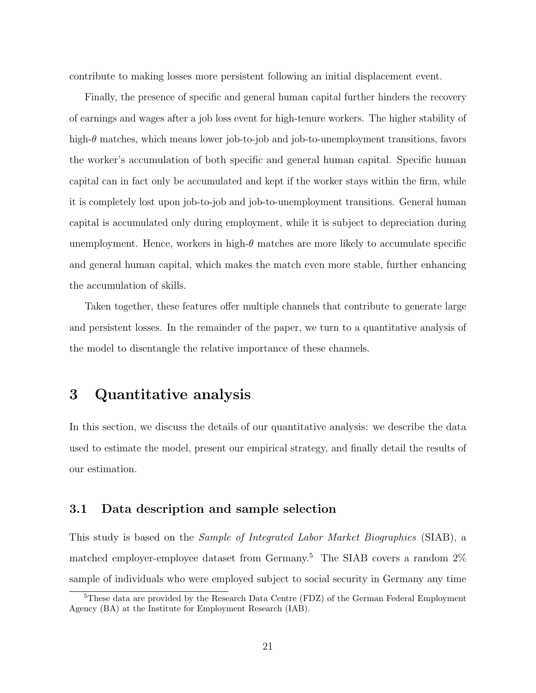contribute to making losses more persistent following an initial displacement event.

Finally, the presence of specific and general human capital further hinders the recovery of earnings and wages after a job loss event for high-tenure workers. The higher stability of high- $\theta$  matches, which means lower job-to-job and job-to-unemployment transitions, favors the worker's accumulation of both specific and general human capital. Specific human capital can in fact only be accumulated and kept if the worker stays within the firm, while it is completely lost upon job-to-job and job-to-unemployment transitions. General human capital is accumulated only during employment, while it is subject to depreciation during unemployment. Hence, workers in high- $\theta$  matches are more likely to accumulate specific and general human capital, which makes the match even more stable, further enhancing the accumulation of skills.

Taken together, these features offer multiple channels that contribute to generate large and persistent losses. In the remainder of the paper, we turn to a quantitative analysis of the model to disentangle the relative importance of these channels.

# <span id="page-20-0"></span>3 Quantitative analysis

In this section, we discuss the details of our quantitative analysis: we describe the data used to estimate the model, present our empirical strategy, and finally detail the results of our estimation.

## 3.1 Data description and sample selection

This study is based on the Sample of Integrated Labor Market Biographies (SIAB), a matched employer-employee dataset from Germany.<sup>[5](#page-20-1)</sup> The SIAB covers a random  $2\%$ sample of individuals who were employed subject to social security in Germany any time

<span id="page-20-1"></span><sup>5</sup>These data are provided by the Research Data Centre (FDZ) of the German Federal Employment Agency (BA) at the Institute for Employment Research (IAB).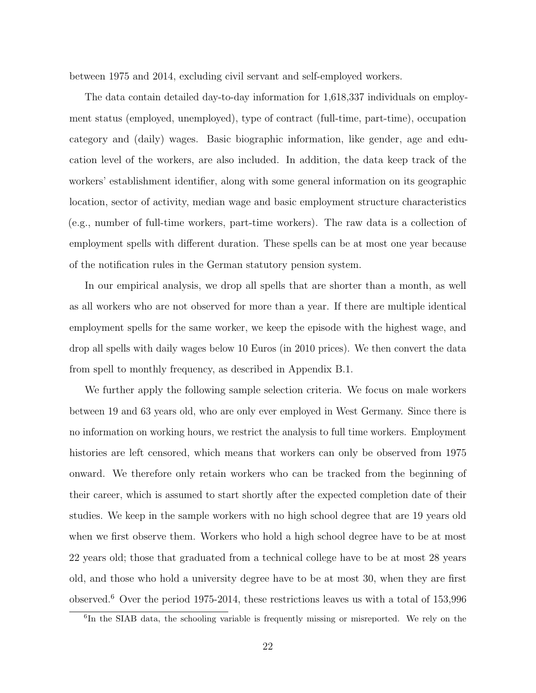between 1975 and 2014, excluding civil servant and self-employed workers.

The data contain detailed day-to-day information for 1,618,337 individuals on employment status (employed, unemployed), type of contract (full-time, part-time), occupation category and (daily) wages. Basic biographic information, like gender, age and education level of the workers, are also included. In addition, the data keep track of the workers' establishment identifier, along with some general information on its geographic location, sector of activity, median wage and basic employment structure characteristics (e.g., number of full-time workers, part-time workers). The raw data is a collection of employment spells with different duration. These spells can be at most one year because of the notification rules in the German statutory pension system.

In our empirical analysis, we drop all spells that are shorter than a month, as well as all workers who are not observed for more than a year. If there are multiple identical employment spells for the same worker, we keep the episode with the highest wage, and drop all spells with daily wages below 10 Euros (in 2010 prices). We then convert the data from spell to monthly frequency, as described in Appendix [B.1.](#page-50-0)

We further apply the following sample selection criteria. We focus on male workers between 19 and 63 years old, who are only ever employed in West Germany. Since there is no information on working hours, we restrict the analysis to full time workers. Employment histories are left censored, which means that workers can only be observed from 1975 onward. We therefore only retain workers who can be tracked from the beginning of their career, which is assumed to start shortly after the expected completion date of their studies. We keep in the sample workers with no high school degree that are 19 years old when we first observe them. Workers who hold a high school degree have to be at most 22 years old; those that graduated from a technical college have to be at most 28 years old, and those who hold a university degree have to be at most 30, when they are first observed.[6](#page-21-0) Over the period 1975-2014, these restrictions leaves us with a total of 153,996

<span id="page-21-0"></span><sup>&</sup>lt;sup>6</sup>In the SIAB data, the schooling variable is frequently missing or misreported. We rely on the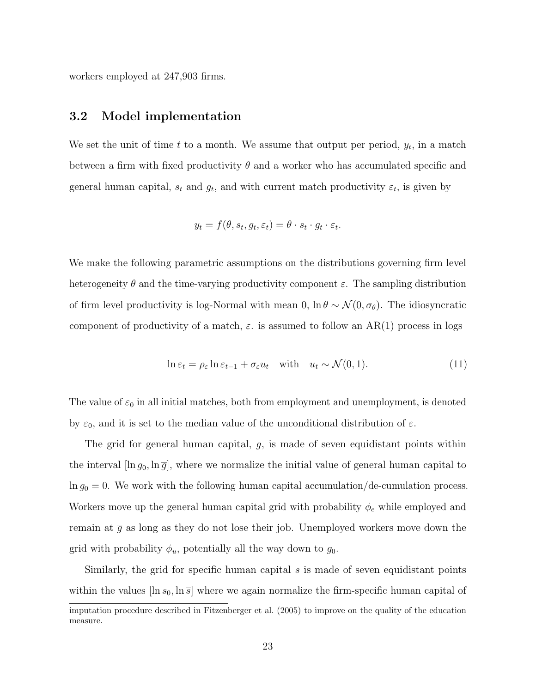workers employed at 247,903 firms.

#### <span id="page-22-0"></span>3.2 Model implementation

We set the unit of time  $t$  to a month. We assume that output per period,  $y_t$ , in a match between a firm with fixed productivity  $\theta$  and a worker who has accumulated specific and general human capital,  $s_t$  and  $g_t$ , and with current match productivity  $\varepsilon_t$ , is given by

$$
y_t = f(\theta, s_t, g_t, \varepsilon_t) = \theta \cdot s_t \cdot g_t \cdot \varepsilon_t.
$$

We make the following parametric assumptions on the distributions governing firm level heterogeneity  $\theta$  and the time-varying productivity component  $\varepsilon$ . The sampling distribution of firm level productivity is log-Normal with mean 0,  $\ln \theta \sim \mathcal{N}(0, \sigma_{\theta})$ . The idiosyncratic component of productivity of a match,  $\varepsilon$ . is assumed to follow an AR(1) process in logs

$$
\ln \varepsilon_t = \rho_\varepsilon \ln \varepsilon_{t-1} + \sigma_\varepsilon u_t \quad \text{with} \quad u_t \sim \mathcal{N}(0, 1). \tag{11}
$$

The value of  $\varepsilon_0$  in all initial matches, both from employment and unemployment, is denoted by  $\varepsilon_0$ , and it is set to the median value of the unconditional distribution of  $\varepsilon$ .

The grid for general human capital,  $g$ , is made of seven equidistant points within the interval  $[\ln g_0, \ln \overline{g}]$ , where we normalize the initial value of general human capital to  $\ln g_0 = 0$ . We work with the following human capital accumulation/de-cumulation process. Workers move up the general human capital grid with probability  $\phi_e$  while employed and remain at  $\bar{g}$  as long as they do not lose their job. Unemployed workers move down the grid with probability  $\phi_u$ , potentially all the way down to  $g_0$ .

Similarly, the grid for specific human capital  $s$  is made of seven equidistant points within the values  $[\ln s_0, \ln \overline{s}]$  where we again normalize the firm-specific human capital of

imputation procedure described in [Fitzenberger et al.](#page-46-10) [\(2005\)](#page-46-10) to improve on the quality of the education measure.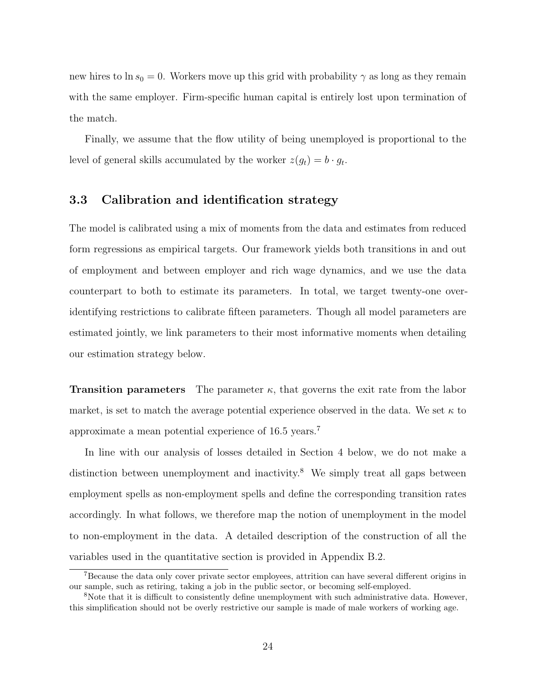new hires to ln  $s_0 = 0$ . Workers move up this grid with probability  $\gamma$  as long as they remain with the same employer. Firm-specific human capital is entirely lost upon termination of the match.

Finally, we assume that the flow utility of being unemployed is proportional to the level of general skills accumulated by the worker  $z(g_t) = b \cdot g_t$ .

## <span id="page-23-2"></span>3.3 Calibration and identification strategy

The model is calibrated using a mix of moments from the data and estimates from reduced form regressions as empirical targets. Our framework yields both transitions in and out of employment and between employer and rich wage dynamics, and we use the data counterpart to both to estimate its parameters. In total, we target twenty-one overidentifying restrictions to calibrate fifteen parameters. Though all model parameters are estimated jointly, we link parameters to their most informative moments when detailing our estimation strategy below.

**Transition parameters** The parameter  $\kappa$ , that governs the exit rate from the labor market, is set to match the average potential experience observed in the data. We set  $\kappa$  to approximate a mean potential experience of 16.5 years.<sup>[7](#page-23-0)</sup>

In line with our analysis of losses detailed in Section [4](#page-30-0) below, we do not make a distinction between unemployment and inactivity.<sup>[8](#page-23-1)</sup> We simply treat all gaps between employment spells as non-employment spells and define the corresponding transition rates accordingly. In what follows, we therefore map the notion of unemployment in the model to non-employment in the data. A detailed description of the construction of all the variables used in the quantitative section is provided in Appendix [B.2.](#page-50-1)

<span id="page-23-0"></span><sup>7</sup>Because the data only cover private sector employees, attrition can have several different origins in our sample, such as retiring, taking a job in the public sector, or becoming self-employed.

<span id="page-23-1"></span><sup>&</sup>lt;sup>8</sup>Note that it is difficult to consistently define unemployment with such administrative data. However, this simplification should not be overly restrictive our sample is made of male workers of working age.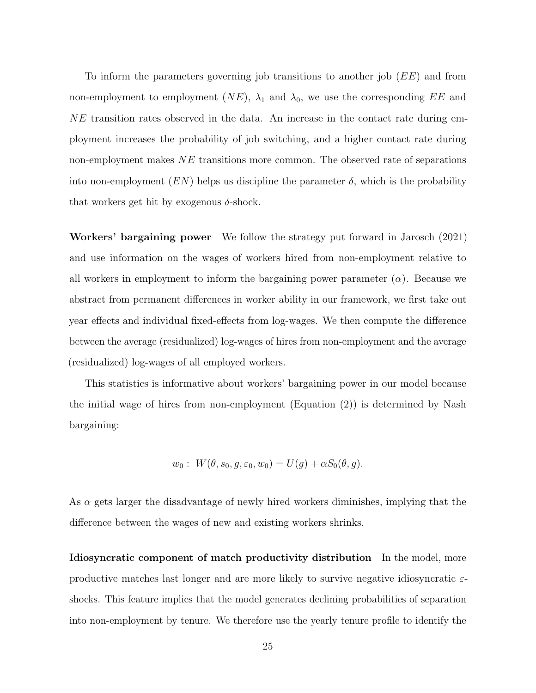To inform the parameters governing job transitions to another job (EE) and from non-employment to employment  $(NE)$ ,  $\lambda_1$  and  $\lambda_0$ , we use the corresponding EE and NE transition rates observed in the data. An increase in the contact rate during employment increases the probability of job switching, and a higher contact rate during non-employment makes NE transitions more common. The observed rate of separations into non-employment  $(EN)$  helps us discipline the parameter  $\delta$ , which is the probability that workers get hit by exogenous  $\delta$ -shock.

Workers' bargaining power We follow the strategy put forward in [Jarosch](#page-46-2) [\(2021\)](#page-46-2) and use information on the wages of workers hired from non-employment relative to all workers in employment to inform the bargaining power parameter  $(\alpha)$ . Because we abstract from permanent differences in worker ability in our framework, we first take out year effects and individual fixed-effects from log-wages. We then compute the difference between the average (residualized) log-wages of hires from non-employment and the average (residualized) log-wages of all employed workers.

This statistics is informative about workers' bargaining power in our model because the initial wage of hires from non-employment (Equation [\(2\)](#page-10-0)) is determined by Nash bargaining:

$$
w_0: W(\theta, s_0, g, \varepsilon_0, w_0) = U(g) + \alpha S_0(\theta, g).
$$

As  $\alpha$  gets larger the disadvantage of newly hired workers diminishes, implying that the difference between the wages of new and existing workers shrinks.

Idiosyncratic component of match productivity distribution In the model, more productive matches last longer and are more likely to survive negative idiosyncratic  $\varepsilon$ shocks. This feature implies that the model generates declining probabilities of separation into non-employment by tenure. We therefore use the yearly tenure profile to identify the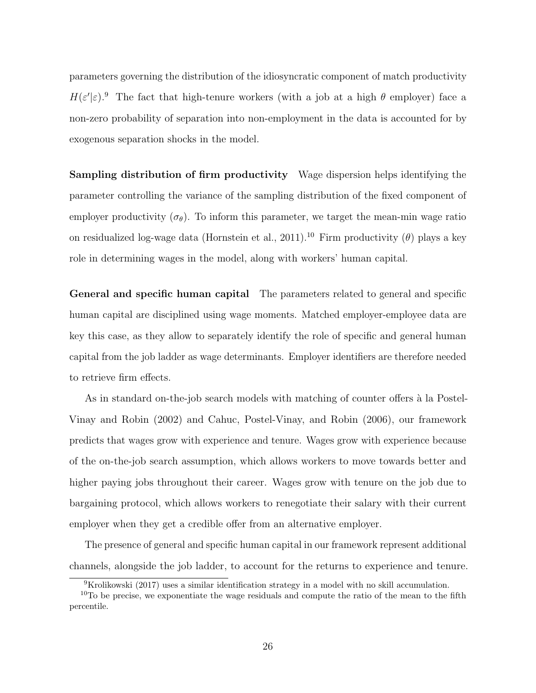parameters governing the distribution of the idiosyncratic component of match productivity  $H(\varepsilon'|\varepsilon)$ .<sup>[9](#page-25-0)</sup> The fact that high-tenure workers (with a job at a high  $\theta$  employer) face a non-zero probability of separation into non-employment in the data is accounted for by exogenous separation shocks in the model.

Sampling distribution of firm productivity Wage dispersion helps identifying the parameter controlling the variance of the sampling distribution of the fixed component of employer productivity  $(\sigma_{\theta})$ . To inform this parameter, we target the mean-min wage ratio on residualized log-wage data [\(Hornstein et al.,](#page-46-11) [2011\)](#page-46-11).<sup>[10](#page-25-1)</sup> Firm productivity ( $\theta$ ) plays a key role in determining wages in the model, along with workers' human capital.

General and specific human capital The parameters related to general and specific human capital are disciplined using wage moments. Matched employer-employee data are key this case, as they allow to separately identify the role of specific and general human capital from the job ladder as wage determinants. Employer identifiers are therefore needed to retrieve firm effects.

As in standard on-the-job search models with matching of counter offers à la [Postel-](#page-47-1)[Vinay and Robin](#page-47-1) [\(2002\)](#page-47-1) and [Cahuc, Postel-Vinay, and Robin](#page-46-9) [\(2006\)](#page-46-9), our framework predicts that wages grow with experience and tenure. Wages grow with experience because of the on-the-job search assumption, which allows workers to move towards better and higher paying jobs throughout their career. Wages grow with tenure on the job due to bargaining protocol, which allows workers to renegotiate their salary with their current employer when they get a credible offer from an alternative employer.

The presence of general and specific human capital in our framework represent additional channels, alongside the job ladder, to account for the returns to experience and tenure.

<span id="page-25-1"></span><span id="page-25-0"></span> ${}^{9}$ [Krolikowski](#page-47-6) [\(2017\)](#page-47-6) uses a similar identification strategy in a model with no skill accumulation.

 $10$ To be precise, we exponentiate the wage residuals and compute the ratio of the mean to the fifth percentile.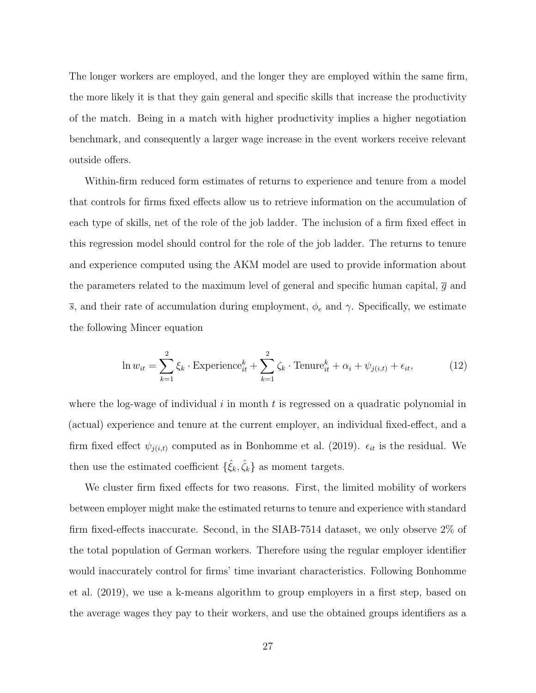The longer workers are employed, and the longer they are employed within the same firm, the more likely it is that they gain general and specific skills that increase the productivity of the match. Being in a match with higher productivity implies a higher negotiation benchmark, and consequently a larger wage increase in the event workers receive relevant outside offers.

Within-firm reduced form estimates of returns to experience and tenure from a model that controls for firms fixed effects allow us to retrieve information on the accumulation of each type of skills, net of the role of the job ladder. The inclusion of a firm fixed effect in this regression model should control for the role of the job ladder. The returns to tenure and experience computed using the AKM model are used to provide information about the parameters related to the maximum level of general and specific human capital,  $\bar{q}$  and  $\overline{s}$ , and their rate of accumulation during employment,  $\phi_e$  and  $\gamma$ . Specifically, we estimate the following Mincer equation

<span id="page-26-0"></span>
$$
\ln w_{it} = \sum_{k=1}^{2} \xi_k \cdot \text{Experimente}_{it}^k + \sum_{k=1}^{2} \zeta_k \cdot \text{Tenure}_{it}^k + \alpha_i + \psi_{j(i,t)} + \epsilon_{it},\tag{12}
$$

where the log-wage of individual  $i$  in month  $t$  is regressed on a quadratic polynomial in (actual) experience and tenure at the current employer, an individual fixed-effect, and a firm fixed effect  $\psi_{j(i,t)}$  computed as in [Bonhomme et al.](#page-46-12) [\(2019\)](#page-46-12).  $\epsilon_{it}$  is the residual. We then use the estimated coefficient  $\{\hat{\xi}_k, \hat{\zeta}_k\}$  as moment targets.

We cluster firm fixed effects for two reasons. First, the limited mobility of workers between employer might make the estimated returns to tenure and experience with standard firm fixed-effects inaccurate. Second, in the SIAB-7514 dataset, we only observe 2% of the total population of German workers. Therefore using the regular employer identifier would inaccurately control for firms' time invariant characteristics. Following [Bonhomme](#page-46-12) [et al.](#page-46-12) [\(2019\)](#page-46-12), we use a k-means algorithm to group employers in a first step, based on the average wages they pay to their workers, and use the obtained groups identifiers as a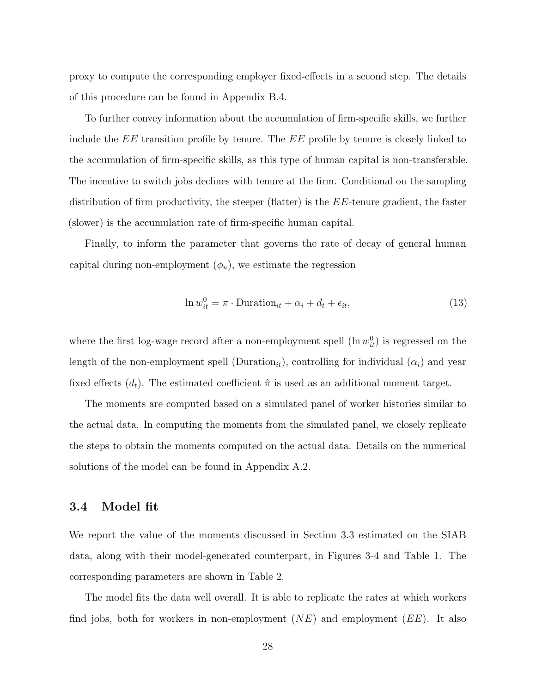proxy to compute the corresponding employer fixed-effects in a second step. The details of this procedure can be found in Appendix [B.4.](#page-51-0)

To further convey information about the accumulation of firm-specific skills, we further include the EE transition profile by tenure. The EE profile by tenure is closely linked to the accumulation of firm-specific skills, as this type of human capital is non-transferable. The incentive to switch jobs declines with tenure at the firm. Conditional on the sampling distribution of firm productivity, the steeper (flatter) is the  $EE$ -tenure gradient, the faster (slower) is the accumulation rate of firm-specific human capital.

Finally, to inform the parameter that governs the rate of decay of general human capital during non-employment  $(\phi_u)$ , we estimate the regression

$$
\ln w_{it}^0 = \pi \cdot \text{Duration}_{it} + \alpha_i + d_t + \epsilon_{it},\tag{13}
$$

where the first log-wage record after a non-employment spell  $(\ln w_{it}^0)$  is regressed on the length of the non-employment spell (Duration<sub>it</sub>), controlling for individual  $(\alpha_i)$  and year fixed effects  $(d_t)$ . The estimated coefficient  $\hat{\pi}$  is used as an additional moment target.

The moments are computed based on a simulated panel of worker histories similar to the actual data. In computing the moments from the simulated panel, we closely replicate the steps to obtain the moments computed on the actual data. Details on the numerical solutions of the model can be found in Appendix [A.2.](#page-48-1)

#### 3.4 Model fit

We report the value of the moments discussed in Section [3.3](#page-23-2) estimated on the SIAB data, along with their model-generated counterpart, in Figures [3](#page-40-0)[-4](#page-40-1) and Table [1.](#page-45-0) The corresponding parameters are shown in Table [2.](#page-45-1)

The model fits the data well overall. It is able to replicate the rates at which workers find jobs, both for workers in non-employment  $(NE)$  and employment  $(EE)$ . It also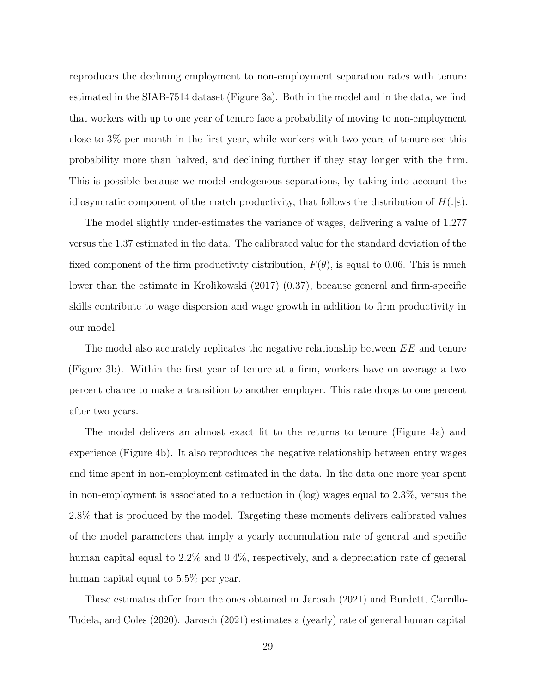reproduces the declining employment to non-employment separation rates with tenure estimated in the SIAB-7514 dataset (Figure [3a\)](#page-40-0). Both in the model and in the data, we find that workers with up to one year of tenure face a probability of moving to non-employment close to 3% per month in the first year, while workers with two years of tenure see this probability more than halved, and declining further if they stay longer with the firm. This is possible because we model endogenous separations, by taking into account the idiosyncratic component of the match productivity, that follows the distribution of  $H(.)\varepsilon$ .

The model slightly under-estimates the variance of wages, delivering a value of 1.277 versus the 1.37 estimated in the data. The calibrated value for the standard deviation of the fixed component of the firm productivity distribution,  $F(\theta)$ , is equal to 0.06. This is much lower than the estimate in [Krolikowski](#page-47-6) [\(2017\)](#page-47-6) (0.37), because general and firm-specific skills contribute to wage dispersion and wage growth in addition to firm productivity in our model.

The model also accurately replicates the negative relationship between  $EE$  and tenure (Figure [3b\)](#page-40-0). Within the first year of tenure at a firm, workers have on average a two percent chance to make a transition to another employer. This rate drops to one percent after two years.

The model delivers an almost exact fit to the returns to tenure (Figure [4a\)](#page-40-1) and experience (Figure [4b\)](#page-40-1). It also reproduces the negative relationship between entry wages and time spent in non-employment estimated in the data. In the data one more year spent in non-employment is associated to a reduction in (log) wages equal to 2.3%, versus the 2.8% that is produced by the model. Targeting these moments delivers calibrated values of the model parameters that imply a yearly accumulation rate of general and specific human capital equal to 2.2% and 0.4%, respectively, and a depreciation rate of general human capital equal to 5.5% per year.

These estimates differ from the ones obtained in [Jarosch](#page-46-2) [\(2021\)](#page-46-2) and [Burdett, Carrillo-](#page-46-5)[Tudela, and Coles](#page-46-5) [\(2020\)](#page-46-5). [Jarosch](#page-46-2) [\(2021\)](#page-46-2) estimates a (yearly) rate of general human capital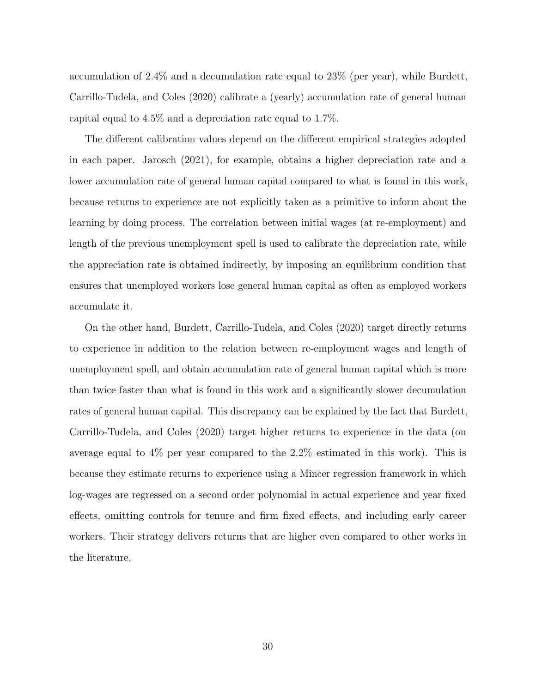accumulation of 2.4% and a decumulation rate equal to 23% (per year), while [Burdett,](#page-46-5) [Carrillo-Tudela, and Coles](#page-46-5) [\(2020\)](#page-46-5) calibrate a (yearly) accumulation rate of general human capital equal to 4.5% and a depreciation rate equal to 1.7%.

The different calibration values depend on the different empirical strategies adopted in each paper. [Jarosch](#page-46-2) [\(2021\)](#page-46-2), for example, obtains a higher depreciation rate and a lower accumulation rate of general human capital compared to what is found in this work, because returns to experience are not explicitly taken as a primitive to inform about the learning by doing process. The correlation between initial wages (at re-employment) and length of the previous unemployment spell is used to calibrate the depreciation rate, while the appreciation rate is obtained indirectly, by imposing an equilibrium condition that ensures that unemployed workers lose general human capital as often as employed workers accumulate it.

On the other hand, [Burdett, Carrillo-Tudela, and Coles](#page-46-5) [\(2020\)](#page-46-5) target directly returns to experience in addition to the relation between re-employment wages and length of unemployment spell, and obtain accumulation rate of general human capital which is more than twice faster than what is found in this work and a significantly slower decumulation rates of general human capital. This discrepancy can be explained by the fact that [Burdett,](#page-46-5) [Carrillo-Tudela, and Coles](#page-46-5) [\(2020\)](#page-46-5) target higher returns to experience in the data (on average equal to 4% per year compared to the 2.2% estimated in this work). This is because they estimate returns to experience using a Mincer regression framework in which log-wages are regressed on a second order polynomial in actual experience and year fixed effects, omitting controls for tenure and firm fixed effects, and including early career workers. Their strategy delivers returns that are higher even compared to other works in the literature.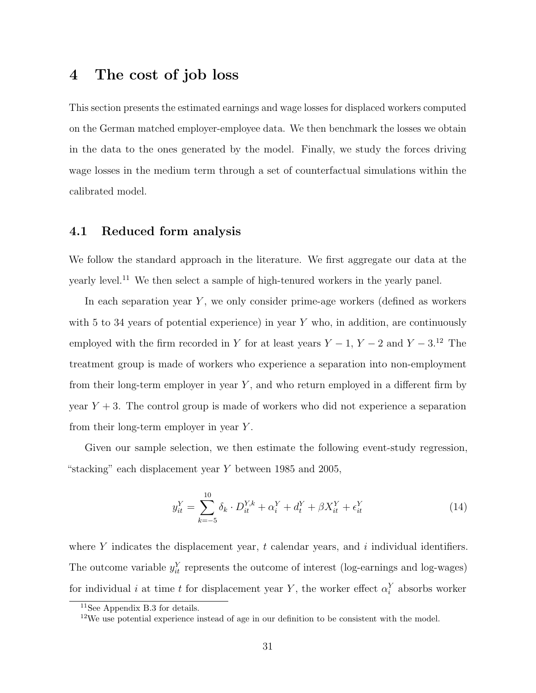## <span id="page-30-0"></span>4 The cost of job loss

This section presents the estimated earnings and wage losses for displaced workers computed on the German matched employer-employee data. We then benchmark the losses we obtain in the data to the ones generated by the model. Finally, we study the forces driving wage losses in the medium term through a set of counterfactual simulations within the calibrated model.

#### 4.1 Reduced form analysis

We follow the standard approach in the literature. We first aggregate our data at the yearly level.[11](#page-30-1) We then select a sample of high-tenured workers in the yearly panel.

In each separation year  $Y$ , we only consider prime-age workers (defined as workers with 5 to 34 years of potential experience) in year  $Y$  who, in addition, are continuously employed with the firm recorded in Y for at least years  $Y - 1$ ,  $Y - 2$  and  $Y - 3$ .<sup>[12](#page-30-2)</sup> The treatment group is made of workers who experience a separation into non-employment from their long-term employer in year  $Y$ , and who return employed in a different firm by year  $Y + 3$ . The control group is made of workers who did not experience a separation from their long-term employer in year Y .

Given our sample selection, we then estimate the following event-study regression, "stacking" each displacement year Y between 1985 and 2005,

<span id="page-30-3"></span>
$$
y_{it}^{Y} = \sum_{k=-5}^{10} \delta_k \cdot D_{it}^{Y,k} + \alpha_i^{Y} + d_t^{Y} + \beta X_{it}^{Y} + \epsilon_{it}^{Y}
$$
 (14)

where Y indicates the displacement year, t calendar years, and i individual identifiers. The outcome variable  $y_{it}^Y$  represents the outcome of interest (log-earnings and log-wages) for individual *i* at time *t* for displacement year Y, the worker effect  $\alpha_i^Y$  absorbs worker

<span id="page-30-1"></span><sup>11</sup>See Appendix [B.3](#page-51-1) for details.

<span id="page-30-2"></span> $12\text{We}$  use potential experience instead of age in our definition to be consistent with the model.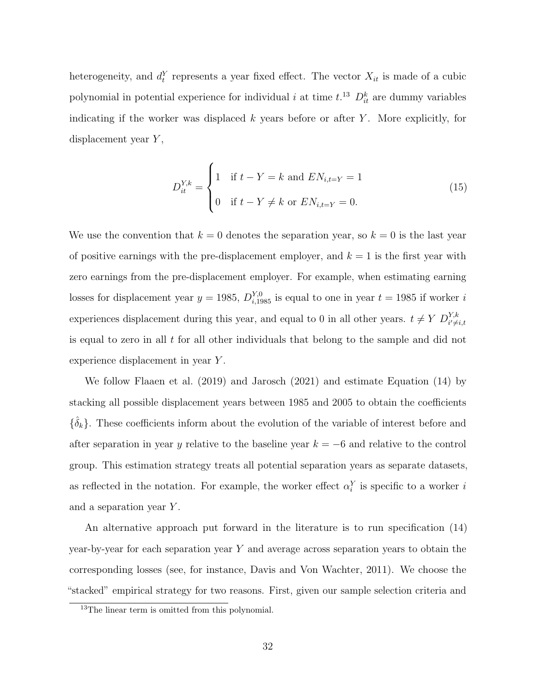heterogeneity, and  $d_t^Y$  represents a year fixed effect. The vector  $X_{it}$  is made of a cubic polynomial in potential experience for individual *i* at time  $t^{13}$  $t^{13}$  $t^{13}$   $D_{it}^{k}$  are dummy variables indicating if the worker was displaced  $k$  years before or after  $Y$ . More explicitly, for displacement year  $Y$ ,

$$
D_{it}^{Y,k} = \begin{cases} 1 & \text{if } t - Y = k \text{ and } EN_{i,t=Y} = 1 \\ 0 & \text{if } t - Y \neq k \text{ or } EN_{i,t=Y} = 0. \end{cases}
$$
(15)

We use the convention that  $k = 0$  denotes the separation year, so  $k = 0$  is the last year of positive earnings with the pre-displacement employer, and  $k = 1$  is the first year with zero earnings from the pre-displacement employer. For example, when estimating earning losses for displacement year  $y = 1985$ ,  $D_{i,1985}^{Y,0}$  is equal to one in year  $t = 1985$  if worker i experiences displacement during this year, and equal to 0 in all other years.  $t \neq Y D_{i' \neq i,t}^{Y,k}$ is equal to zero in all  $t$  for all other individuals that belong to the sample and did not experience displacement in year Y .

We follow [Flaaen et al.](#page-46-13) [\(2019\)](#page-46-13) and [Jarosch](#page-46-2) [\(2021\)](#page-46-2) and estimate Equation [\(14\)](#page-30-3) by stacking all possible displacement years between 1985 and 2005 to obtain the coefficients  ${\{\hatdelta}_k\}$ . These coefficients inform about the evolution of the variable of interest before and after separation in year y relative to the baseline year  $k = -6$  and relative to the control group. This estimation strategy treats all potential separation years as separate datasets, as reflected in the notation. For example, the worker effect  $\alpha_i^Y$  is specific to a worker i and a separation year Y.

An alternative approach put forward in the literature is to run specification [\(14\)](#page-30-3) year-by-year for each separation year Y and average across separation years to obtain the corresponding losses (see, for instance, [Davis and Von Wachter,](#page-46-0) [2011\)](#page-46-0). We choose the "stacked" empirical strategy for two reasons. First, given our sample selection criteria and

<span id="page-31-0"></span><sup>&</sup>lt;sup>13</sup>The linear term is omitted from this polynomial.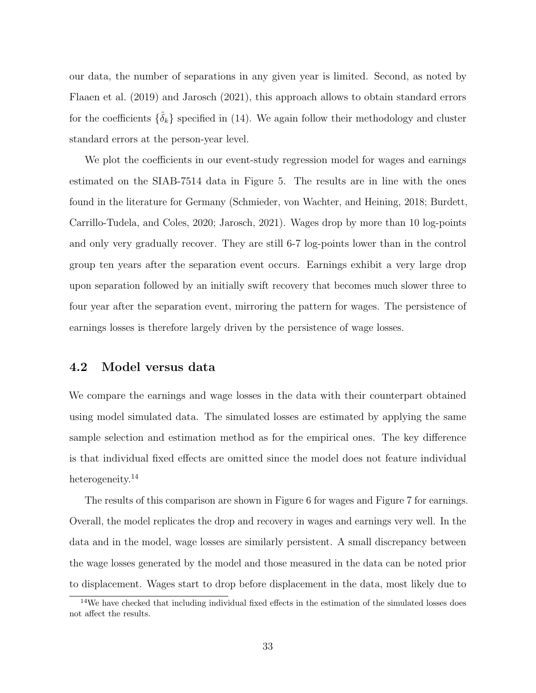our data, the number of separations in any given year is limited. Second, as noted by [Flaaen et al.](#page-46-13) [\(2019\)](#page-46-13) and [Jarosch](#page-46-2) [\(2021\)](#page-46-2), this approach allows to obtain standard errors for the coefficients  $\{\hat{\delta}_k\}$  specified in [\(14\)](#page-30-3). We again follow their methodology and cluster standard errors at the person-year level.

We plot the coefficients in our event-study regression model for wages and earnings estimated on the SIAB-7514 data in Figure [5.](#page-41-0) The results are in line with the ones found in the literature for Germany [\(Schmieder, von Wachter, and Heining,](#page-47-0) [2018;](#page-47-0) [Burdett,](#page-46-5) [Carrillo-Tudela, and Coles,](#page-46-5) [2020;](#page-46-5) [Jarosch,](#page-46-2) [2021\)](#page-46-2). Wages drop by more than 10 log-points and only very gradually recover. They are still 6-7 log-points lower than in the control group ten years after the separation event occurs. Earnings exhibit a very large drop upon separation followed by an initially swift recovery that becomes much slower three to four year after the separation event, mirroring the pattern for wages. The persistence of earnings losses is therefore largely driven by the persistence of wage losses.

## 4.2 Model versus data

We compare the earnings and wage losses in the data with their counterpart obtained using model simulated data. The simulated losses are estimated by applying the same sample selection and estimation method as for the empirical ones. The key difference is that individual fixed effects are omitted since the model does not feature individual heterogeneity.<sup>[14](#page-32-0)</sup>

The results of this comparison are shown in Figure [6](#page-41-1) for wages and Figure [7](#page-42-0) for earnings. Overall, the model replicates the drop and recovery in wages and earnings very well. In the data and in the model, wage losses are similarly persistent. A small discrepancy between the wage losses generated by the model and those measured in the data can be noted prior to displacement. Wages start to drop before displacement in the data, most likely due to

<span id="page-32-0"></span><sup>&</sup>lt;sup>14</sup>We have checked that including individual fixed effects in the estimation of the simulated losses does not affect the results.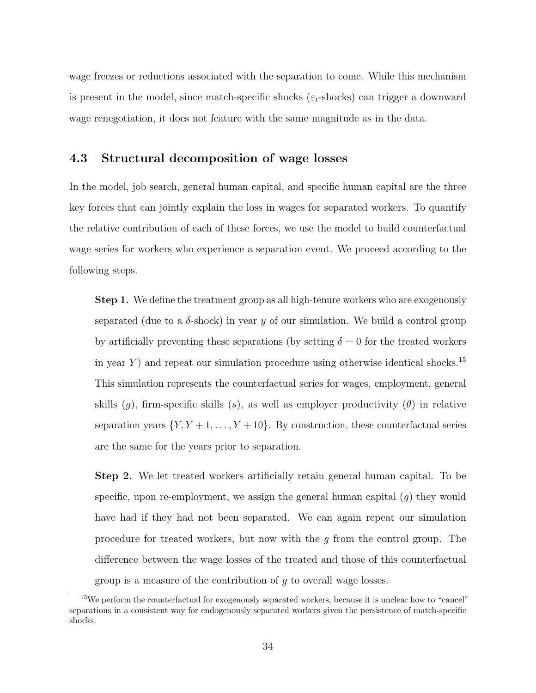wage freezes or reductions associated with the separation to come. While this mechanism is present in the model, since match-specific shocks ( $\varepsilon_t$ -shocks) can trigger a downward wage renegotiation, it does not feature with the same magnitude as in the data.

### 4.3 Structural decomposition of wage losses

In the model, job search, general human capital, and specific human capital are the three key forces that can jointly explain the loss in wages for separated workers. To quantify the relative contribution of each of these forces, we use the model to build counterfactual wage series for workers who experience a separation event. We proceed according to the following steps.

Step 1. We define the treatment group as all high-tenure workers who are exogenously separated (due to a  $\delta$ -shock) in year y of our simulation. We build a control group by artificially preventing these separations (by setting  $\delta = 0$  for the treated workers in year Y) and repeat our simulation procedure using otherwise identical shocks.<sup>[15](#page-33-0)</sup> This simulation represents the counterfactual series for wages, employment, general skills (q), firm-specific skills (s), as well as employer productivity ( $\theta$ ) in relative separation years  $\{Y, Y + 1, \ldots, Y + 10\}$ . By construction, these counterfactual series are the same for the years prior to separation.

Step 2. We let treated workers artificially retain general human capital. To be specific, upon re-employment, we assign the general human capital  $(g)$  they would have had if they had not been separated. We can again repeat our simulation procedure for treated workers, but now with the g from the control group. The difference between the wage losses of the treated and those of this counterfactual group is a measure of the contribution of  $g$  to overall wage losses.

<span id="page-33-0"></span><sup>&</sup>lt;sup>15</sup>We perform the counterfactual for exogenously separated workers, because it is unclear how to "cancel" separations in a consistent way for endogenously separated workers given the persistence of match-specific shocks.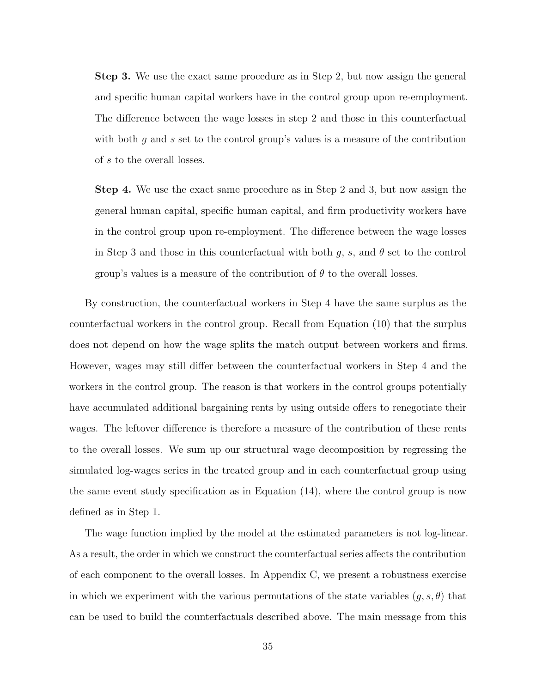Step 3. We use the exact same procedure as in Step 2, but now assign the general and specific human capital workers have in the control group upon re-employment. The difference between the wage losses in step 2 and those in this counterfactual with both  $g$  and  $s$  set to the control group's values is a measure of the contribution of s to the overall losses.

Step 4. We use the exact same procedure as in Step 2 and 3, but now assign the general human capital, specific human capital, and firm productivity workers have in the control group upon re-employment. The difference between the wage losses in Step 3 and those in this counterfactual with both  $g$ ,  $s$ , and  $\theta$  set to the control group's values is a measure of the contribution of  $\theta$  to the overall losses.

By construction, the counterfactual workers in Step 4 have the same surplus as the counterfactual workers in the control group. Recall from Equation [\(10\)](#page-17-0) that the surplus does not depend on how the wage splits the match output between workers and firms. However, wages may still differ between the counterfactual workers in Step 4 and the workers in the control group. The reason is that workers in the control groups potentially have accumulated additional bargaining rents by using outside offers to renegotiate their wages. The leftover difference is therefore a measure of the contribution of these rents to the overall losses. We sum up our structural wage decomposition by regressing the simulated log-wages series in the treated group and in each counterfactual group using the same event study specification as in Equation [\(14\)](#page-30-3), where the control group is now defined as in Step 1.

The wage function implied by the model at the estimated parameters is not log-linear. As a result, the order in which we construct the counterfactual series affects the contribution of each component to the overall losses. In Appendix [C,](#page-52-0) we present a robustness exercise in which we experiment with the various permutations of the state variables  $(g, s, \theta)$  that can be used to build the counterfactuals described above. The main message from this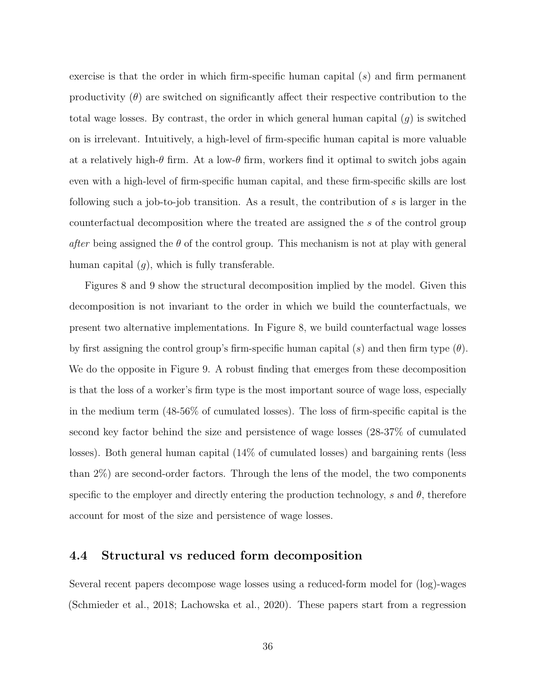exercise is that the order in which firm-specific human capital (s) and firm permanent productivity  $(\theta)$  are switched on significantly affect their respective contribution to the total wage losses. By contrast, the order in which general human capital  $(g)$  is switched on is irrelevant. Intuitively, a high-level of firm-specific human capital is more valuable at a relatively high- $\theta$  firm. At a low- $\theta$  firm, workers find it optimal to switch jobs again even with a high-level of firm-specific human capital, and these firm-specific skills are lost following such a job-to-job transition. As a result, the contribution of s is larger in the counterfactual decomposition where the treated are assigned the s of the control group *after* being assigned the  $\theta$  of the control group. This mechanism is not at play with general human capital  $(q)$ , which is fully transferable.

Figures [8](#page-42-1) and [9](#page-43-0) show the structural decomposition implied by the model. Given this decomposition is not invariant to the order in which we build the counterfactuals, we present two alternative implementations. In Figure [8,](#page-42-1) we build counterfactual wage losses by first assigning the control group's firm-specific human capital (s) and then firm type  $(\theta)$ . We do the opposite in Figure [9.](#page-43-0) A robust finding that emerges from these decomposition is that the loss of a worker's firm type is the most important source of wage loss, especially in the medium term (48-56% of cumulated losses). The loss of firm-specific capital is the second key factor behind the size and persistence of wage losses (28-37% of cumulated losses). Both general human capital (14% of cumulated losses) and bargaining rents (less than 2%) are second-order factors. Through the lens of the model, the two components specific to the employer and directly entering the production technology, s and  $\theta$ , therefore account for most of the size and persistence of wage losses.

#### 4.4 Structural vs reduced form decomposition

Several recent papers decompose wage losses using a reduced-form model for (log)-wages [\(Schmieder et al.,](#page-47-0) [2018;](#page-47-0) [Lachowska et al.,](#page-47-5) [2020\)](#page-47-5). These papers start from a regression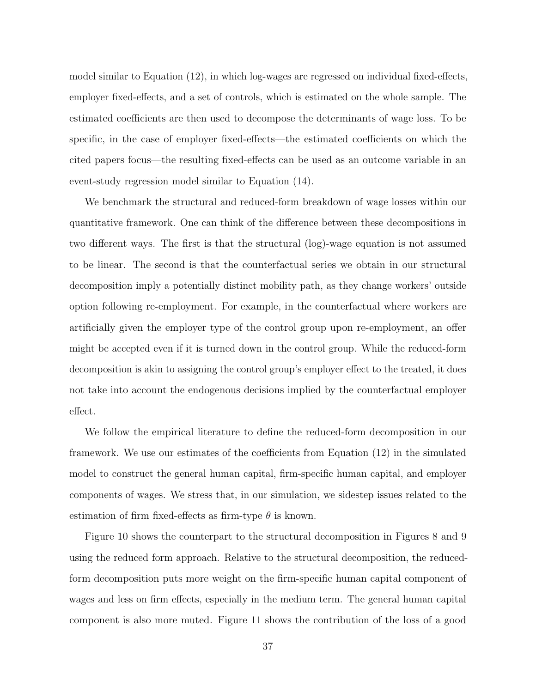model similar to Equation [\(12\)](#page-26-0), in which log-wages are regressed on individual fixed-effects, employer fixed-effects, and a set of controls, which is estimated on the whole sample. The estimated coefficients are then used to decompose the determinants of wage loss. To be specific, in the case of employer fixed-effects—the estimated coefficients on which the cited papers focus—the resulting fixed-effects can be used as an outcome variable in an event-study regression model similar to Equation [\(14\)](#page-30-3).

We benchmark the structural and reduced-form breakdown of wage losses within our quantitative framework. One can think of the difference between these decompositions in two different ways. The first is that the structural (log)-wage equation is not assumed to be linear. The second is that the counterfactual series we obtain in our structural decomposition imply a potentially distinct mobility path, as they change workers' outside option following re-employment. For example, in the counterfactual where workers are artificially given the employer type of the control group upon re-employment, an offer might be accepted even if it is turned down in the control group. While the reduced-form decomposition is akin to assigning the control group's employer effect to the treated, it does not take into account the endogenous decisions implied by the counterfactual employer effect.

We follow the empirical literature to define the reduced-form decomposition in our framework. We use our estimates of the coefficients from Equation [\(12\)](#page-26-0) in the simulated model to construct the general human capital, firm-specific human capital, and employer components of wages. We stress that, in our simulation, we sidestep issues related to the estimation of firm fixed-effects as firm-type  $\theta$  is known.

Figure [10](#page-43-1) shows the counterpart to the structural decomposition in Figures [8](#page-42-1) and [9](#page-43-0) using the reduced form approach. Relative to the structural decomposition, the reducedform decomposition puts more weight on the firm-specific human capital component of wages and less on firm effects, especially in the medium term. The general human capital component is also more muted. Figure [11](#page-44-0) shows the contribution of the loss of a good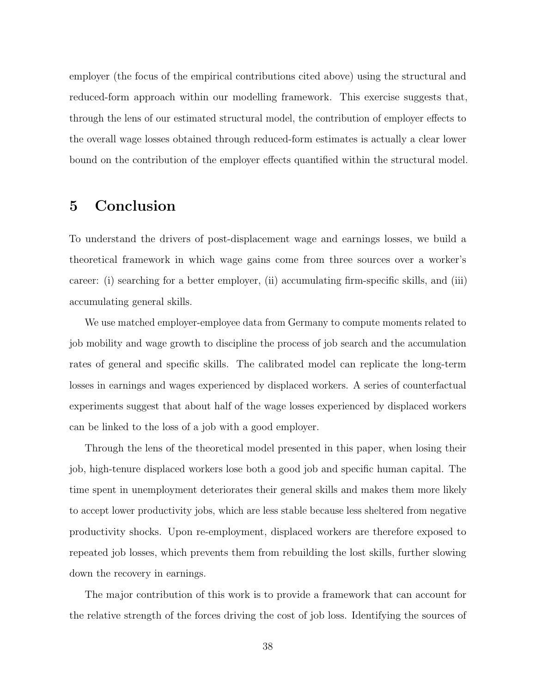employer (the focus of the empirical contributions cited above) using the structural and reduced-form approach within our modelling framework. This exercise suggests that, through the lens of our estimated structural model, the contribution of employer effects to the overall wage losses obtained through reduced-form estimates is actually a clear lower bound on the contribution of the employer effects quantified within the structural model.

# <span id="page-37-0"></span>5 Conclusion

To understand the drivers of post-displacement wage and earnings losses, we build a theoretical framework in which wage gains come from three sources over a worker's career: (i) searching for a better employer, (ii) accumulating firm-specific skills, and (iii) accumulating general skills.

We use matched employer-employee data from Germany to compute moments related to job mobility and wage growth to discipline the process of job search and the accumulation rates of general and specific skills. The calibrated model can replicate the long-term losses in earnings and wages experienced by displaced workers. A series of counterfactual experiments suggest that about half of the wage losses experienced by displaced workers can be linked to the loss of a job with a good employer.

Through the lens of the theoretical model presented in this paper, when losing their job, high-tenure displaced workers lose both a good job and specific human capital. The time spent in unemployment deteriorates their general skills and makes them more likely to accept lower productivity jobs, which are less stable because less sheltered from negative productivity shocks. Upon re-employment, displaced workers are therefore exposed to repeated job losses, which prevents them from rebuilding the lost skills, further slowing down the recovery in earnings.

The major contribution of this work is to provide a framework that can account for the relative strength of the forces driving the cost of job loss. Identifying the sources of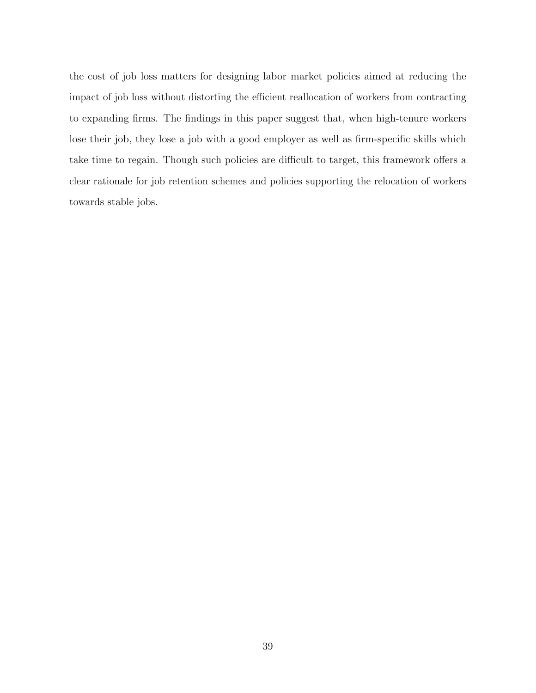the cost of job loss matters for designing labor market policies aimed at reducing the impact of job loss without distorting the efficient reallocation of workers from contracting to expanding firms. The findings in this paper suggest that, when high-tenure workers lose their job, they lose a job with a good employer as well as firm-specific skills which take time to regain. Though such policies are difficult to target, this framework offers a clear rationale for job retention schemes and policies supporting the relocation of workers towards stable jobs.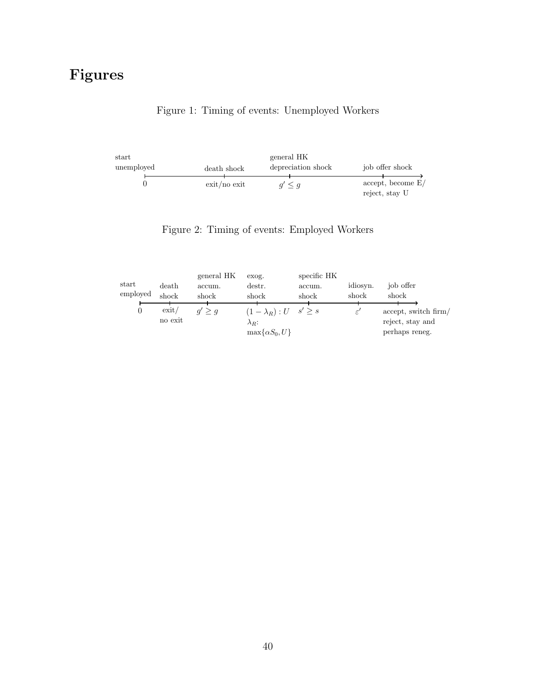# <span id="page-39-0"></span>Figures

## Figure 1: Timing of events: Unemployed Workers

| start      |                      | general HK         |                                     |  |
|------------|----------------------|--------------------|-------------------------------------|--|
| unemployed | death shock          | depreciation shock | job offer shock                     |  |
|            | $\chi$ exit /no exit | $q' \leq q$        | accept, become E/<br>reject, stay U |  |

<span id="page-39-1"></span>

|          |         | general HK  | exog.                                 | specific HK |                |                      |
|----------|---------|-------------|---------------------------------------|-------------|----------------|----------------------|
| start    | death   | accum.      | destr.                                | accum.      | idiosyn.       | job offer            |
| employed | shock   | shock       | shock                                 | shock       | shock          | shock                |
|          |         |             |                                       |             |                |                      |
|          | ext/    | $q' \geq q$ | $(1 - \lambda_R) : U \quad s' \geq s$ |             | $\varepsilon'$ | accept, switch firm/ |
|          | no exit |             | $\lambda_R$ :                         |             |                | reject, stay and     |
|          |         |             | $\max\{\alpha S_0, U\}$               |             |                | perhaps reneg.       |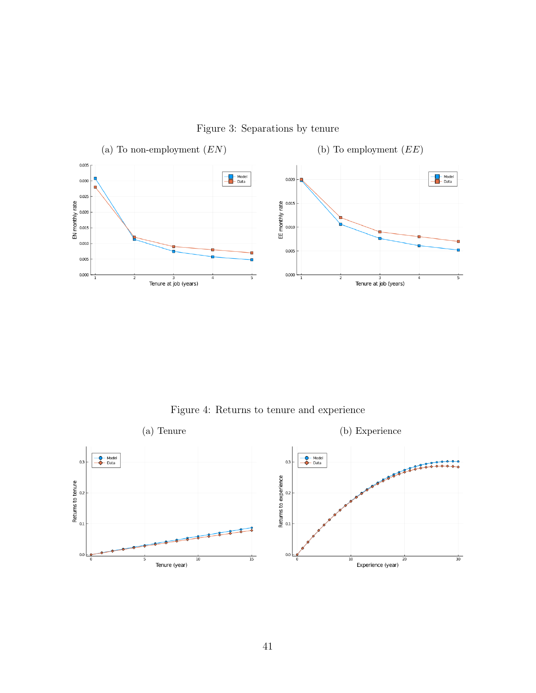<span id="page-40-0"></span>

Figure 3: Separations by tenure

Figure 4: Returns to tenure and experience

<span id="page-40-1"></span>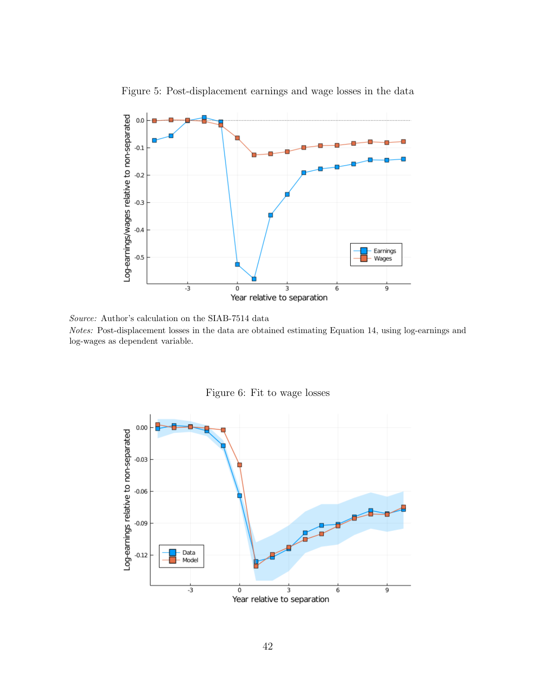<span id="page-41-0"></span>

Figure 5: Post-displacement earnings and wage losses in the data

Source: Author's calculation on the SIAB-7514 data Notes: Post-displacement losses in the data are obtained estimating Equation [14,](#page-30-3) using log-earnings and log-wages as dependent variable.

<span id="page-41-1"></span>

Figure 6: Fit to wage losses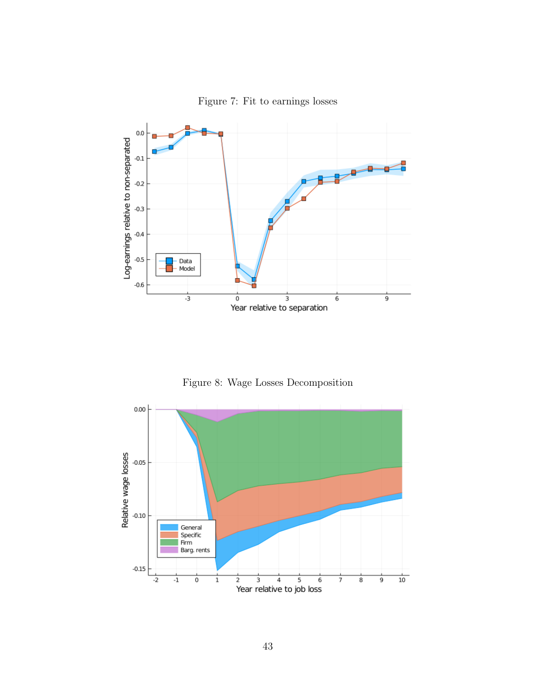<span id="page-42-0"></span>

Figure 7: Fit to earnings losses

Figure 8: Wage Losses Decomposition

<span id="page-42-1"></span>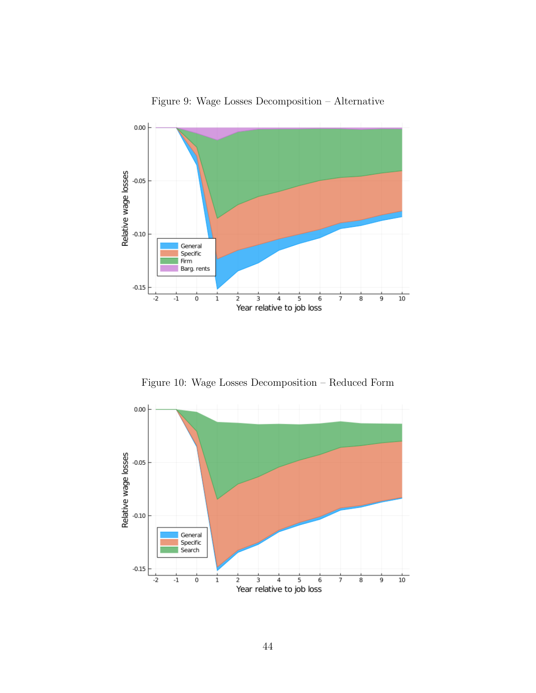<span id="page-43-0"></span>

Figure 9: Wage Losses Decomposition – Alternative

Figure 10: Wage Losses Decomposition – Reduced Form

<span id="page-43-1"></span>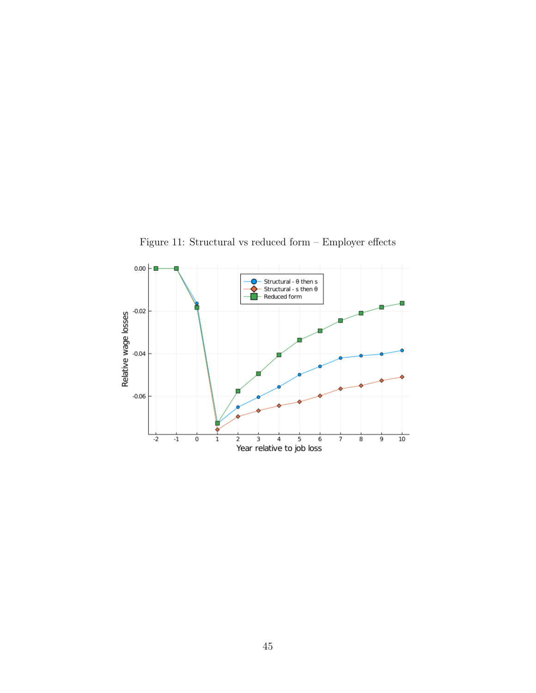<span id="page-44-0"></span>

Figure 11: Structural vs reduced form – Employer effects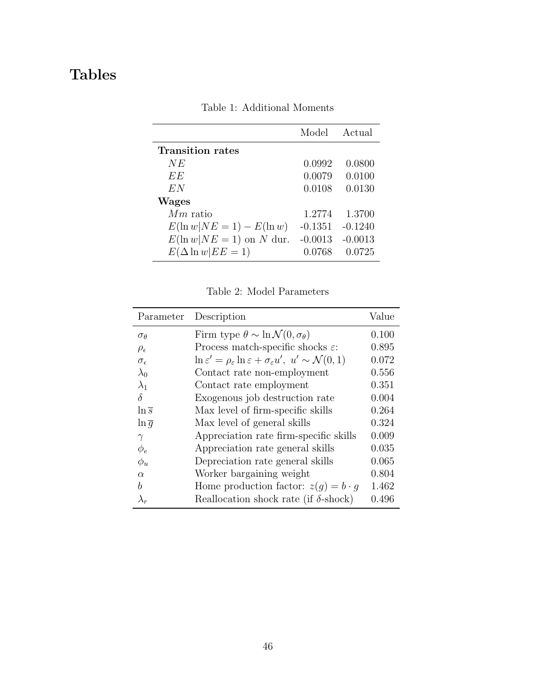# <span id="page-45-0"></span>Tables

|                            | Model     | Actual    |
|----------------------------|-----------|-----------|
| <b>Transition rates</b>    |           |           |
| NE                         | 0.0992    | 0.0800    |
| EE                         | 0.0079    | 0.0100    |
| E N                        | 0.0108    | 0.0130    |
| <b>Wages</b>               |           |           |
| $Mm$ ratio                 | 1.2774    | 1.3700    |
| $E(\ln w NE=1) - E(\ln w)$ | $-0.1351$ | $-0.1240$ |
| $E(\ln w NE=1)$ on N dur.  | $-0.0013$ | $-0.0013$ |
| $E(\Delta \ln w   EE = 1)$ | 0.0768    | 0.0725    |

Table 1: Additional Moments

Table 2: Model Parameters

<span id="page-45-1"></span>

| Parameter           | Description                                                                                                  | Value |
|---------------------|--------------------------------------------------------------------------------------------------------------|-------|
| $\sigma_{\theta}$   | Firm type $\theta \sim \ln \mathcal{N}(0, \sigma_{\theta})$                                                  | 0.100 |
| $\rho_{\epsilon}$   | Process match-specific shocks $\varepsilon$ :                                                                | 0.895 |
| $\sigma_{\epsilon}$ | $\ln \varepsilon' = \rho_{\varepsilon} \ln \varepsilon + \sigma_{\varepsilon} u', u' \sim \mathcal{N}(0, 1)$ | 0.072 |
| $\lambda_0$         | Contact rate non-employment                                                                                  | 0.556 |
| $\lambda_1$         | Contact rate employment                                                                                      | 0.351 |
| δ                   | Exogenous job destruction rate                                                                               | 0.004 |
| $\ln \overline{s}$  | Max level of firm-specific skills                                                                            | 0.264 |
| $\ln \overline{q}$  | Max level of general skills                                                                                  | 0.324 |
| $\gamma$            | Appreciation rate firm-specific skills                                                                       | 0.009 |
| $\varphi_e$         | Appreciation rate general skills                                                                             | 0.035 |
| $\phi_u$            | Depreciation rate general skills                                                                             | 0.065 |
| $\alpha$            | Worker bargaining weight                                                                                     | 0.804 |
| h                   | Home production factor: $z(g) = b \cdot g$                                                                   | 1.462 |
|                     | Reallocation shock rate (if $\delta$ -shock)                                                                 | 0.496 |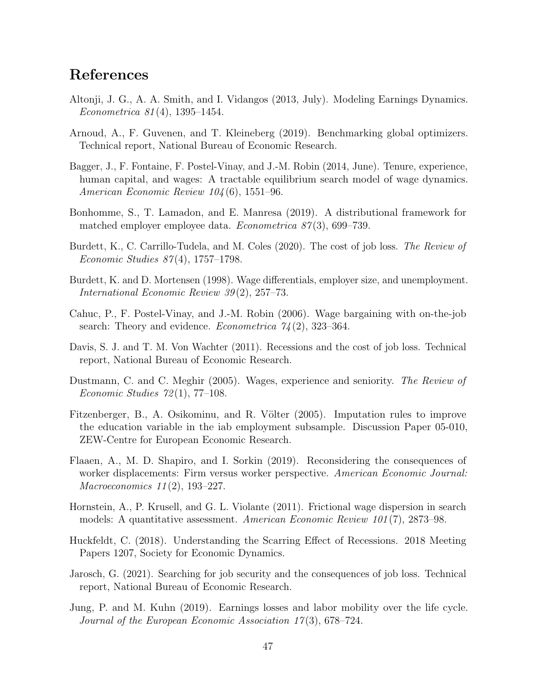# References

- <span id="page-46-7"></span>Altonji, J. G., A. A. Smith, and I. Vidangos (2013, July). Modeling Earnings Dynamics. Econometrica 81 (4), 1395–1454.
- <span id="page-46-14"></span>Arnoud, A., F. Guvenen, and T. Kleineberg (2019). Benchmarking global optimizers. Technical report, National Bureau of Economic Research.
- <span id="page-46-8"></span>Bagger, J., F. Fontaine, F. Postel-Vinay, and J.-M. Robin (2014, June). Tenure, experience, human capital, and wages: A tractable equilibrium search model of wage dynamics. American Economic Review 104 (6), 1551–96.
- <span id="page-46-12"></span>Bonhomme, S., T. Lamadon, and E. Manresa (2019). A distributional framework for matched employer employee data. *Econometrica 87*(3), 699–739.
- <span id="page-46-5"></span>Burdett, K., C. Carrillo-Tudela, and M. Coles (2020). The cost of job loss. The Review of Economic Studies 87 (4), 1757–1798.
- <span id="page-46-1"></span>Burdett, K. and D. Mortensen (1998). Wage differentials, employer size, and unemployment. International Economic Review 39 (2), 257–73.
- <span id="page-46-9"></span>Cahuc, P., F. Postel-Vinay, and J.-M. Robin (2006). Wage bargaining with on-the-job search: Theory and evidence. *Econometrica*  $74(2)$ , 323-364.
- <span id="page-46-0"></span>Davis, S. J. and T. M. Von Wachter (2011). Recessions and the cost of job loss. Technical report, National Bureau of Economic Research.
- <span id="page-46-6"></span>Dustmann, C. and C. Meghir (2005). Wages, experience and seniority. The Review of Economic Studies  $72(1)$ ,  $77-108$ .
- <span id="page-46-10"></span>Fitzenberger, B., A. Osikominu, and R. Völter (2005). Imputation rules to improve the education variable in the iab employment subsample. Discussion Paper 05-010, ZEW-Centre for European Economic Research.
- <span id="page-46-13"></span>Flaaen, A., M. D. Shapiro, and I. Sorkin (2019). Reconsidering the consequences of worker displacements: Firm versus worker perspective. American Economic Journal: Macroeconomics 11(2), 193-227.
- <span id="page-46-11"></span>Hornstein, A., P. Krusell, and G. L. Violante (2011). Frictional wage dispersion in search models: A quantitative assessment. American Economic Review 101 (7), 2873–98.
- <span id="page-46-4"></span>Huckfeldt, C. (2018). Understanding the Scarring Effect of Recessions. 2018 Meeting Papers 1207, Society for Economic Dynamics.
- <span id="page-46-2"></span>Jarosch, G. (2021). Searching for job security and the consequences of job loss. Technical report, National Bureau of Economic Research.
- <span id="page-46-3"></span>Jung, P. and M. Kuhn (2019). Earnings losses and labor mobility over the life cycle. Journal of the European Economic Association 17(3), 678–724.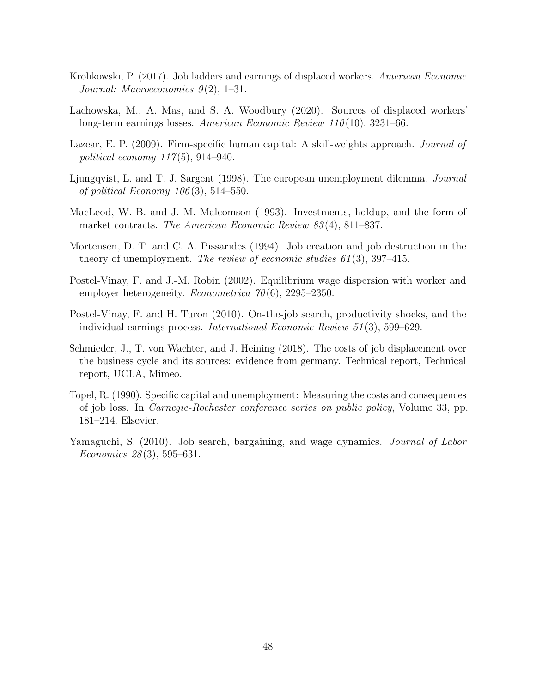- <span id="page-47-6"></span>Krolikowski, P. (2017). Job ladders and earnings of displaced workers. American Economic Journal: Macroeconomics  $9(2)$ , 1–31.
- <span id="page-47-5"></span>Lachowska, M., A. Mas, and S. A. Woodbury (2020). Sources of displaced workers' long-term earnings losses. American Economic Review  $110(10)$ , 3231–66.
- <span id="page-47-3"></span>Lazear, E. P. (2009). Firm-specific human capital: A skill-weights approach. *Journal of* political economy  $117(5)$ , 914–940.
- <span id="page-47-4"></span>Ljungqvist, L. and T. J. Sargent (1998). The european unemployment dilemma. Journal of political Economy  $106(3)$ , 514–550.
- <span id="page-47-10"></span>MacLeod, W. B. and J. M. Malcomson (1993). Investments, holdup, and the form of market contracts. The American Economic Review 83(4), 811–837.
- <span id="page-47-9"></span>Mortensen, D. T. and C. A. Pissarides (1994). Job creation and job destruction in the theory of unemployment. The review of economic studies  $61(3)$ , 397–415.
- <span id="page-47-1"></span>Postel-Vinay, F. and J.-M. Robin (2002). Equilibrium wage dispersion with worker and employer heterogeneity. *Econometrica*  $70(6)$ , 2295–2350.
- <span id="page-47-8"></span>Postel-Vinay, F. and H. Turon (2010). On-the-job search, productivity shocks, and the individual earnings process. International Economic Review 51 (3), 599–629.
- <span id="page-47-0"></span>Schmieder, J., T. von Wachter, and J. Heining (2018). The costs of job displacement over the business cycle and its sources: evidence from germany. Technical report, Technical report, UCLA, Mimeo.
- <span id="page-47-2"></span>Topel, R. (1990). Specific capital and unemployment: Measuring the costs and consequences of job loss. In Carnegie-Rochester conference series on public policy, Volume 33, pp. 181–214. Elsevier.
- <span id="page-47-7"></span>Yamaguchi, S. (2010). Job search, bargaining, and wage dynamics. *Journal of Labor* Economics 28 (3), 595–631.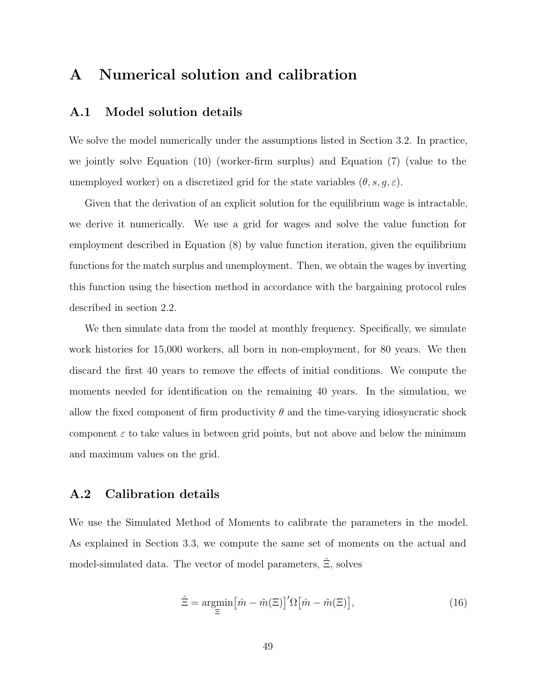# A Numerical solution and calibration

## <span id="page-48-0"></span>A.1 Model solution details

We solve the model numerically under the assumptions listed in Section [3.2.](#page-22-0) In practice, we jointly solve Equation [\(10\)](#page-17-0) (worker-firm surplus) and Equation [\(7\)](#page-13-0) (value to the unemployed worker) on a discretized grid for the state variables  $(\theta, s, q, \varepsilon)$ .

Given that the derivation of an explicit solution for the equilibrium wage is intractable, we derive it numerically. We use a grid for wages and solve the value function for employment described in Equation [\(8\)](#page-14-0) by value function iteration, given the equilibrium functions for the match surplus and unemployment. Then, we obtain the wages by inverting this function using the bisection method in accordance with the bargaining protocol rules described in section [2.2.](#page-9-0)

We then simulate data from the model at monthly frequency. Specifically, we simulate work histories for 15,000 workers, all born in non-employment, for 80 years. We then discard the first 40 years to remove the effects of initial conditions. We compute the moments needed for identification on the remaining 40 years. In the simulation, we allow the fixed component of firm productivity  $\theta$  and the time-varying idiosyncratic shock component  $\varepsilon$  to take values in between grid points, but not above and below the minimum and maximum values on the grid.

#### <span id="page-48-1"></span>A.2 Calibration details

We use the Simulated Method of Moments to calibrate the parameters in the model. As explained in Section [3.3,](#page-23-2) we compute the same set of moments on the actual and model-simulated data. The vector of model parameters,  $\hat{\Xi}$ , solves

$$
\hat{\Xi} = \underset{\Xi}{\operatorname{argmin}} \left[ \hat{m} - \tilde{m}(\Xi) \right]' \Omega \left[ \hat{m} - \tilde{m}(\Xi) \right],\tag{16}
$$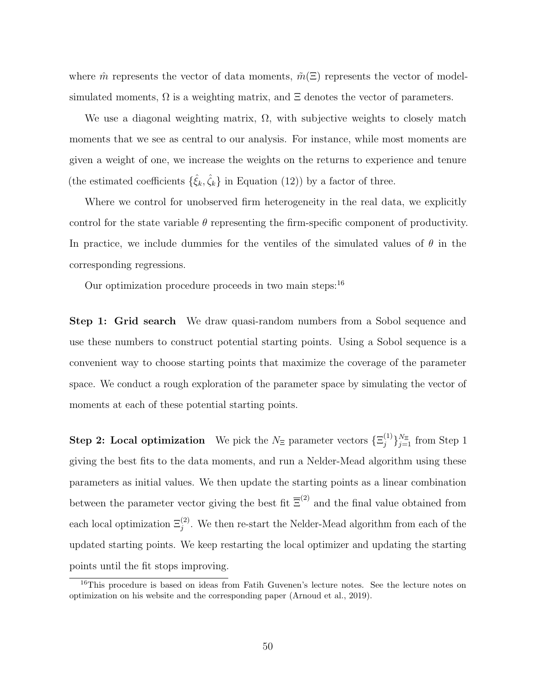where  $\hat{m}$  represents the vector of data moments,  $\tilde{m}(\Xi)$  represents the vector of modelsimulated moments,  $\Omega$  is a weighting matrix, and  $\Xi$  denotes the vector of parameters.

We use a diagonal weighting matrix,  $\Omega$ , with subjective weights to closely match moments that we see as central to our analysis. For instance, while most moments are given a weight of one, we increase the weights on the returns to experience and tenure (the estimated coefficients  $\{\hat{\xi}_k, \hat{\zeta}_k\}$  in Equation [\(12\)](#page-26-0)) by a factor of three.

Where we control for unobserved firm heterogeneity in the real data, we explicitly control for the state variable  $\theta$  representing the firm-specific component of productivity. In practice, we include dummies for the ventiles of the simulated values of  $\theta$  in the corresponding regressions.

Our optimization procedure proceeds in two main steps:  $16$ 

Step 1: Grid search We draw quasi-random numbers from a Sobol sequence and use these numbers to construct potential starting points. Using a Sobol sequence is a convenient way to choose starting points that maximize the coverage of the parameter space. We conduct a rough exploration of the parameter space by simulating the vector of moments at each of these potential starting points.

**Step 2:** Local optimization We pick the  $N_{\Xi}$  parameter vectors  $\{\Xi_i^{(1)}\}$  $\{j=1}^{N_{\Xi}}$  from Step 1 giving the best fits to the data moments, and run a Nelder-Mead algorithm using these parameters as initial values. We then update the starting points as a linear combination between the parameter vector giving the best fit  $\overline{\Xi}^{(2)}$  and the final value obtained from each local optimization  $\Xi_j^{(2)}$ . We then re-start the Nelder-Mead algorithm from each of the updated starting points. We keep restarting the local optimizer and updating the starting points until the fit stops improving.

<span id="page-49-0"></span><sup>&</sup>lt;sup>16</sup>This procedure is based on ideas from Fatih Guvenen's lecture notes. See the lecture notes on optimization on his website and the corresponding paper [\(Arnoud et al.,](#page-46-14) [2019\)](#page-46-14).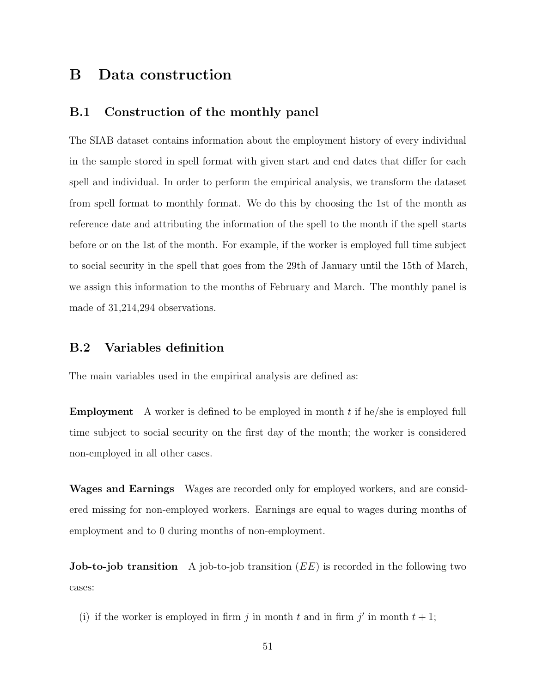# B Data construction

## <span id="page-50-0"></span>B.1 Construction of the monthly panel

The SIAB dataset contains information about the employment history of every individual in the sample stored in spell format with given start and end dates that differ for each spell and individual. In order to perform the empirical analysis, we transform the dataset from spell format to monthly format. We do this by choosing the 1st of the month as reference date and attributing the information of the spell to the month if the spell starts before or on the 1st of the month. For example, if the worker is employed full time subject to social security in the spell that goes from the 29th of January until the 15th of March, we assign this information to the months of February and March. The monthly panel is made of 31,214,294 observations.

#### <span id="page-50-1"></span>B.2 Variables definition

The main variables used in the empirical analysis are defined as:

**Employment** A worker is defined to be employed in month  $t$  if he/she is employed full time subject to social security on the first day of the month; the worker is considered non-employed in all other cases.

Wages and Earnings Wages are recorded only for employed workers, and are considered missing for non-employed workers. Earnings are equal to wages during months of employment and to 0 during months of non-employment.

**Job-to-job transition** A job-to-job transition  $(EE)$  is recorded in the following two cases:

(i) if the worker is employed in firm j in month t and in firm j' in month  $t + 1$ ;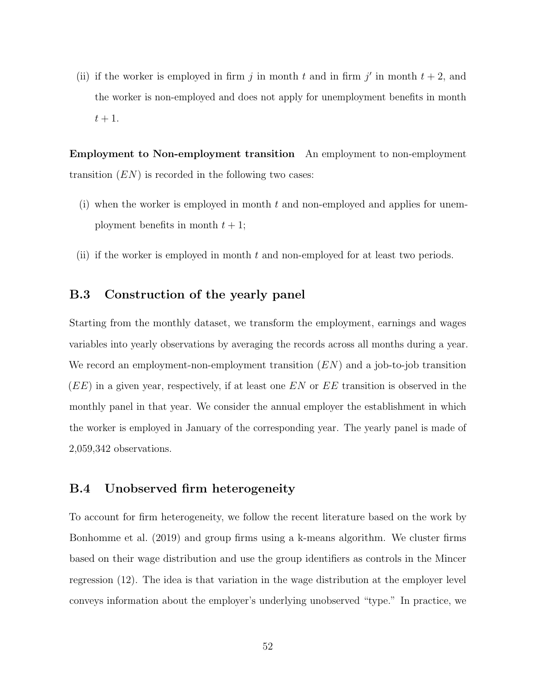(ii) if the worker is employed in firm j in month t and in firm j' in month  $t + 2$ , and the worker is non-employed and does not apply for unemployment benefits in month  $t+1$ .

Employment to Non-employment transition An employment to non-employment transition  $(EN)$  is recorded in the following two cases:

- (i) when the worker is employed in month t and non-employed and applies for unemployment benefits in month  $t + 1$ ;
- (ii) if the worker is employed in month  $t$  and non-employed for at least two periods.

## <span id="page-51-1"></span>B.3 Construction of the yearly panel

Starting from the monthly dataset, we transform the employment, earnings and wages variables into yearly observations by averaging the records across all months during a year. We record an employment-non-employment transition  $(EN)$  and a job-to-job transition  $(EE)$  in a given year, respectively, if at least one EN or EE transition is observed in the monthly panel in that year. We consider the annual employer the establishment in which the worker is employed in January of the corresponding year. The yearly panel is made of 2,059,342 observations.

#### <span id="page-51-0"></span>B.4 Unobserved firm heterogeneity

To account for firm heterogeneity, we follow the recent literature based on the work by [Bonhomme et al.](#page-46-12) [\(2019\)](#page-46-12) and group firms using a k-means algorithm. We cluster firms based on their wage distribution and use the group identifiers as controls in the Mincer regression [\(12\)](#page-26-0). The idea is that variation in the wage distribution at the employer level conveys information about the employer's underlying unobserved "type." In practice, we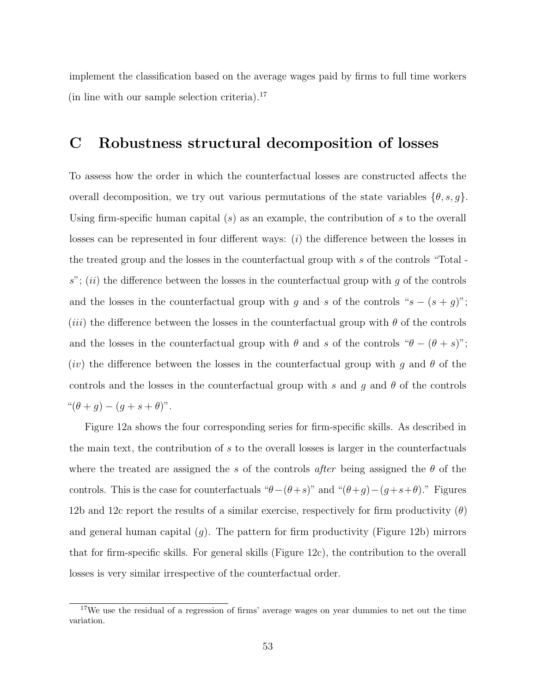implement the classification based on the average wages paid by firms to full time workers (in line with our sample selection criteria).[17](#page-52-1)

# <span id="page-52-0"></span>C Robustness structural decomposition of losses

To assess how the order in which the counterfactual losses are constructed affects the overall decomposition, we try out various permutations of the state variables  $\{\theta, s, g\}.$ Using firm-specific human capital  $(s)$  as an example, the contribution of s to the overall losses can be represented in four different ways:  $(i)$  the difference between the losses in the treated group and the losses in the counterfactual group with s of the controls "Total  $s$ "; (ii) the difference between the losses in the counterfactual group with  $g$  of the controls and the losses in the counterfactual group with g and s of the controls " $s - (s + g)$ "; (*iii*) the difference between the losses in the counterfactual group with  $\theta$  of the controls and the losses in the counterfactual group with  $\theta$  and s of the controls " $\theta - (\theta + s)$ "; (iv) the difference between the losses in the counterfactual group with g and  $\theta$  of the controls and the losses in the counterfactual group with s and g and  $\theta$  of the controls " $(\theta + g) - (g + s + \theta)$ ".

Figure [12a](#page-53-0) shows the four corresponding series for firm-specific skills. As described in the main text, the contribution of s to the overall losses is larger in the counterfactuals where the treated are assigned the s of the controls *after* being assigned the  $\theta$  of the controls. This is the case for counterfactuals " $\theta-(\theta+s)$ " and " $(\theta+g)-(g+s+\theta)$ ." Figures [12b](#page-53-0) and [12c](#page-53-0) report the results of a similar exercise, respectively for firm productivity  $(\theta)$ and general human capital  $(g)$ . The pattern for firm productivity (Figure [12b\)](#page-53-0) mirrors that for firm-specific skills. For general skills (Figure [12c\)](#page-53-0), the contribution to the overall losses is very similar irrespective of the counterfactual order.

<span id="page-52-1"></span><sup>&</sup>lt;sup>17</sup>We use the residual of a regression of firms' average wages on year dummies to net out the time variation.